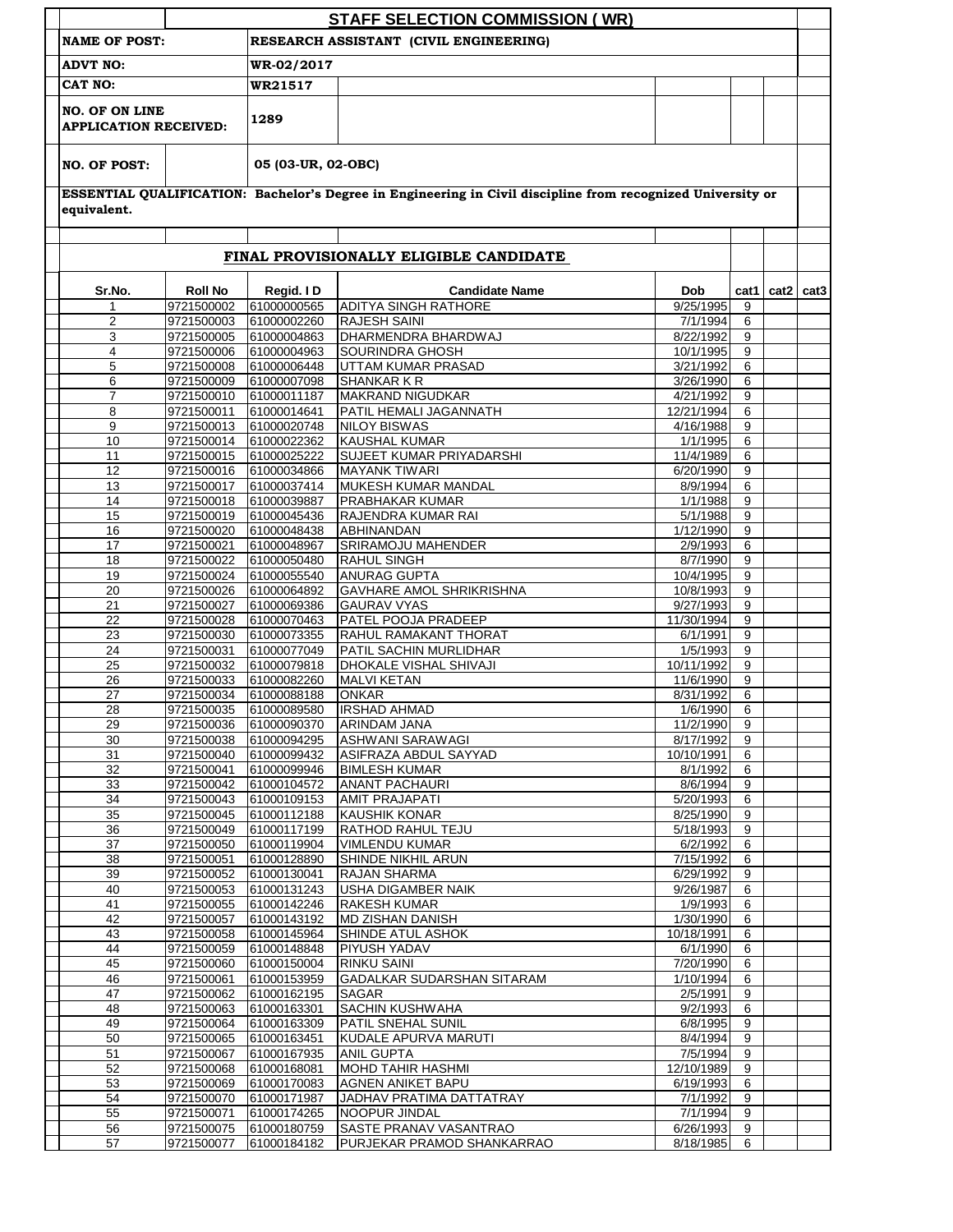|                                                       |                                        |                            | <b>STAFF SELECTION COMMISSION (WR)</b>                                                                      |                         |           |               |  |  |
|-------------------------------------------------------|----------------------------------------|----------------------------|-------------------------------------------------------------------------------------------------------------|-------------------------|-----------|---------------|--|--|
| <b>NAME OF POST:</b>                                  | RESEARCH ASSISTANT (CIVIL ENGINEERING) |                            |                                                                                                             |                         |           |               |  |  |
| <b>ADVT NO:</b>                                       |                                        | WR-02/2017                 |                                                                                                             |                         |           |               |  |  |
| <b>CAT NO:</b>                                        |                                        | WR21517                    |                                                                                                             |                         |           |               |  |  |
| <b>NO. OF ON LINE</b><br><b>APPLICATION RECEIVED:</b> |                                        | 1289                       |                                                                                                             |                         |           |               |  |  |
| <b>NO. OF POST:</b>                                   |                                        | 05 (03-UR, 02-OBC)         |                                                                                                             |                         |           |               |  |  |
| equivalent.                                           |                                        |                            | ESSENTIAL QUALIFICATION: Bachelor's Degree in Engineering in Civil discipline from recognized University or |                         |           |               |  |  |
|                                                       |                                        |                            | FINAL PROVISIONALLY ELIGIBLE CANDIDATE                                                                      |                         |           |               |  |  |
|                                                       | <b>Roll No</b>                         |                            | <b>Candidate Name</b>                                                                                       | <b>Dob</b>              |           |               |  |  |
| Sr.No.<br>1                                           | 9721500002                             | Regid. ID<br>61000000565   | <b>ADITYA SINGH RATHORE</b>                                                                                 | $9/25/\overline{1995}$  | cat1<br>9 | $cat2$ $cat3$ |  |  |
| $\overline{2}$                                        | 9721500003                             | 61000002260                | <b>RAJESH SAINI</b>                                                                                         | 7/1/1994                | 6         |               |  |  |
| 3                                                     | 9721500005                             | 61000004863                | DHARMENDRA BHARDWAJ                                                                                         | 8/22/1992               | 9         |               |  |  |
| $\overline{4}$                                        | 9721500006                             | 61000004963                | <b>SOURINDRA GHOSH</b>                                                                                      | 10/1/1995               | 9         |               |  |  |
| 5                                                     | 9721500008                             | 61000006448                | UTTAM KUMAR PRASAD                                                                                          | 3/21/1992               | 6         |               |  |  |
| 6                                                     | 9721500009                             | 61000007098                | <b>SHANKARKR</b>                                                                                            | 3/26/1990               | 6         |               |  |  |
| $\overline{7}$                                        | 9721500010                             | 61000011187                | MAKRAND NIGUDKAR                                                                                            | 4/21/1992               | 9         |               |  |  |
| 8<br>9                                                | 9721500011<br>9721500013               | 61000014641<br>61000020748 | PATIL HEMALI JAGANNATH<br><b>NILOY BISWAS</b>                                                               | 12/21/1994<br>4/16/1988 | 6<br>9    |               |  |  |
| 10                                                    | 9721500014                             | 61000022362                | <b>KAUSHAL KUMAR</b>                                                                                        | 1/1/1995                | 6         |               |  |  |
| 11                                                    | 9721500015                             | 61000025222                | SUJEET KUMAR PRIYADARSHI                                                                                    | 11/4/1989               | 6         |               |  |  |
| $\overline{12}$                                       | 9721500016                             | 61000034866                | <b>MAYANK TIWARI</b>                                                                                        | 6/20/1990               | 9         |               |  |  |
| 13                                                    | 9721500017                             | 61000037414                | MUKESH KUMAR MANDAL                                                                                         | 8/9/1994                | 6         |               |  |  |
| 14                                                    | 9721500018                             | 61000039887                | <b>PRABHAKAR KUMAR</b>                                                                                      | 1/1/1988                | 9         |               |  |  |
| 15                                                    | 9721500019                             | 61000045436                | RAJENDRA KUMAR RAI                                                                                          | 5/1/1988                | 9         |               |  |  |
| 16                                                    | 9721500020                             | 61000048438                | ABHINANDAN                                                                                                  | 1/12/1990               | 9         |               |  |  |
| 17<br>18                                              | 9721500021<br>9721500022               | 61000048967<br>61000050480 | <b>SRIRAMOJU MAHENDER</b><br><b>RAHUL SINGH</b>                                                             | 2/9/1993<br>8/7/1990    | 6<br>9    |               |  |  |
| 19                                                    | 9721500024                             | 61000055540                | <b>ANURAG GUPTA</b>                                                                                         | 10/4/1995               | 9         |               |  |  |
| 20                                                    | 9721500026                             | 61000064892                | <b>GAVHARE AMOL SHRIKRISHNA</b>                                                                             | 10/8/1993               | 9         |               |  |  |
| 21                                                    | 9721500027                             | 61000069386                | <b>GAURAV VYAS</b>                                                                                          | 9/27/1993               | 9         |               |  |  |
| 22                                                    | 9721500028                             | 61000070463                | PATEL POOJA PRADEEP                                                                                         | 11/30/1994              | 9         |               |  |  |
| 23                                                    | 9721500030                             | 61000073355                | RAHUL RAMAKANT THORAT                                                                                       | 6/1/1991                | 9         |               |  |  |
| 24                                                    | 9721500031                             | 61000077049                | PATIL SACHIN MURLIDHAR                                                                                      | 1/5/1993                | 9         |               |  |  |
| 25                                                    | 9721500032<br>9721500033               | 61000079818                | DHOKALE VISHAL SHIVAJI                                                                                      | 10/11/1992              | 9<br>9    |               |  |  |
| 26<br>27                                              | 9721500034                             | 61000082260<br>61000088188 | <b>MALVI KETAN</b><br><b>ONKAR</b>                                                                          | 11/6/1990<br>8/31/1992  | 6         |               |  |  |
| 28                                                    | 9721500035                             | 61000089580                | <b>IRSHAD AHMAD</b>                                                                                         | 1/6/1990                | 6         |               |  |  |
| 29                                                    | 9721500036                             | 61000090370                | <b>ARINDAM JANA</b>                                                                                         | 11/2/1990               | 9         |               |  |  |
| 30                                                    | 9721500038                             | 61000094295                | <b>ASHWANI SARAWAGI</b>                                                                                     | 8/17/1992               | 9         |               |  |  |
| 31                                                    | 9721500040                             | 61000099432                | ASIFRAZA ABDUL SAYYAD                                                                                       | 10/10/1991              | 6         |               |  |  |
| $\overline{32}$                                       | 9721500041                             | 61000099946                | <b>BIMLESH KUMAR</b>                                                                                        | 8/1/1992                | 6         |               |  |  |
| 33                                                    | 9721500042                             | 61000104572                | <b>ANANT PACHAURI</b>                                                                                       | 8/6/1994                | 9         |               |  |  |
| 34<br>35                                              | 9721500043<br>9721500045               | 61000109153<br>61000112188 | <b>AMIT PRAJAPATI</b><br><b>KAUSHIK KONAR</b>                                                               | 5/20/1993<br>8/25/1990  | 6<br>9    |               |  |  |
| 36                                                    | 9721500049                             | 61000117199                | <b>RATHOD RAHUL TEJU</b>                                                                                    | 5/18/1993               | 9         |               |  |  |
| 37                                                    | 9721500050                             | 61000119904                | <b>VIMLENDU KUMAR</b>                                                                                       | 6/2/1992                | 6         |               |  |  |
| 38                                                    | 9721500051                             | 61000128890                | <b>SHINDE NIKHIL ARUN</b>                                                                                   | 7/15/1992               | 6         |               |  |  |
| 39                                                    | 9721500052                             | 61000130041                | RAJAN SHARMA                                                                                                | 6/29/1992               | 9         |               |  |  |
| 40                                                    | 9721500053                             | 61000131243                | <b>USHA DIGAMBER NAIK</b>                                                                                   | 9/26/1987               | 6         |               |  |  |
| 41                                                    | 9721500055                             | 61000142246                | <b>RAKESH KUMAR</b>                                                                                         | 1/9/1993                | 6         |               |  |  |
| 42                                                    | 9721500057                             | 61000143192                | MD ZISHAN DANISH                                                                                            | 1/30/1990               | 6         |               |  |  |
| 43<br>44                                              | 9721500058<br>9721500059               | 61000145964<br>61000148848 | SHINDE ATUL ASHOK<br><b>PIYUSH YADAV</b>                                                                    | 10/18/1991<br>6/1/1990  | 6<br>6    |               |  |  |
| 45                                                    | 9721500060                             | 61000150004                | <b>RINKU SAINI</b>                                                                                          | 7/20/1990               | 6         |               |  |  |
| 46                                                    | 9721500061                             | 61000153959                | <b>GADALKAR SUDARSHAN SITARAM</b>                                                                           | 1/10/1994               | 6         |               |  |  |
| 47                                                    | 9721500062                             | 61000162195                | <b>SAGAR</b>                                                                                                | 2/5/1991                | 9         |               |  |  |
| 48                                                    | 9721500063                             | 61000163301                | <b>SACHIN KUSHWAHA</b>                                                                                      | 9/2/1993                | 6         |               |  |  |
| 49                                                    | 9721500064                             | 61000163309                | PATIL SNEHAL SUNIL                                                                                          | 6/8/1995                | 9         |               |  |  |
| 50                                                    | 9721500065                             | 61000163451                | KUDALE APURVA MARUTI                                                                                        | 8/4/1994                | 9         |               |  |  |
| 51                                                    | 9721500067                             | 61000167935                | <b>ANIL GUPTA</b>                                                                                           | 7/5/1994                | 9         |               |  |  |
| 52                                                    | 9721500068                             | 61000168081                | <b>MOHD TAHIR HASHMI</b>                                                                                    | 12/10/1989              | 9         |               |  |  |
| 53<br>54                                              | 9721500069<br>9721500070               | 61000170083                | <b>AGNEN ANIKET BAPU</b><br>JADHAV PRATIMA DATTATRAY                                                        | 6/19/1993<br>7/1/1992   | 6<br>9    |               |  |  |
| 55                                                    | 9721500071                             | 61000171987<br>61000174265 | <b>NOOPUR JINDAL</b>                                                                                        | 7/1/1994                | 9         |               |  |  |
| 56                                                    | 9721500075                             | 61000180759                | <b>SASTE PRANAV VASANTRAO</b>                                                                               | 6/26/1993               | 9         |               |  |  |
| 57                                                    | 9721500077                             | 61000184182                | PURJEKAR PRAMOD SHANKARRAO                                                                                  | 8/18/1985               | 6         |               |  |  |
|                                                       |                                        |                            |                                                                                                             |                         |           |               |  |  |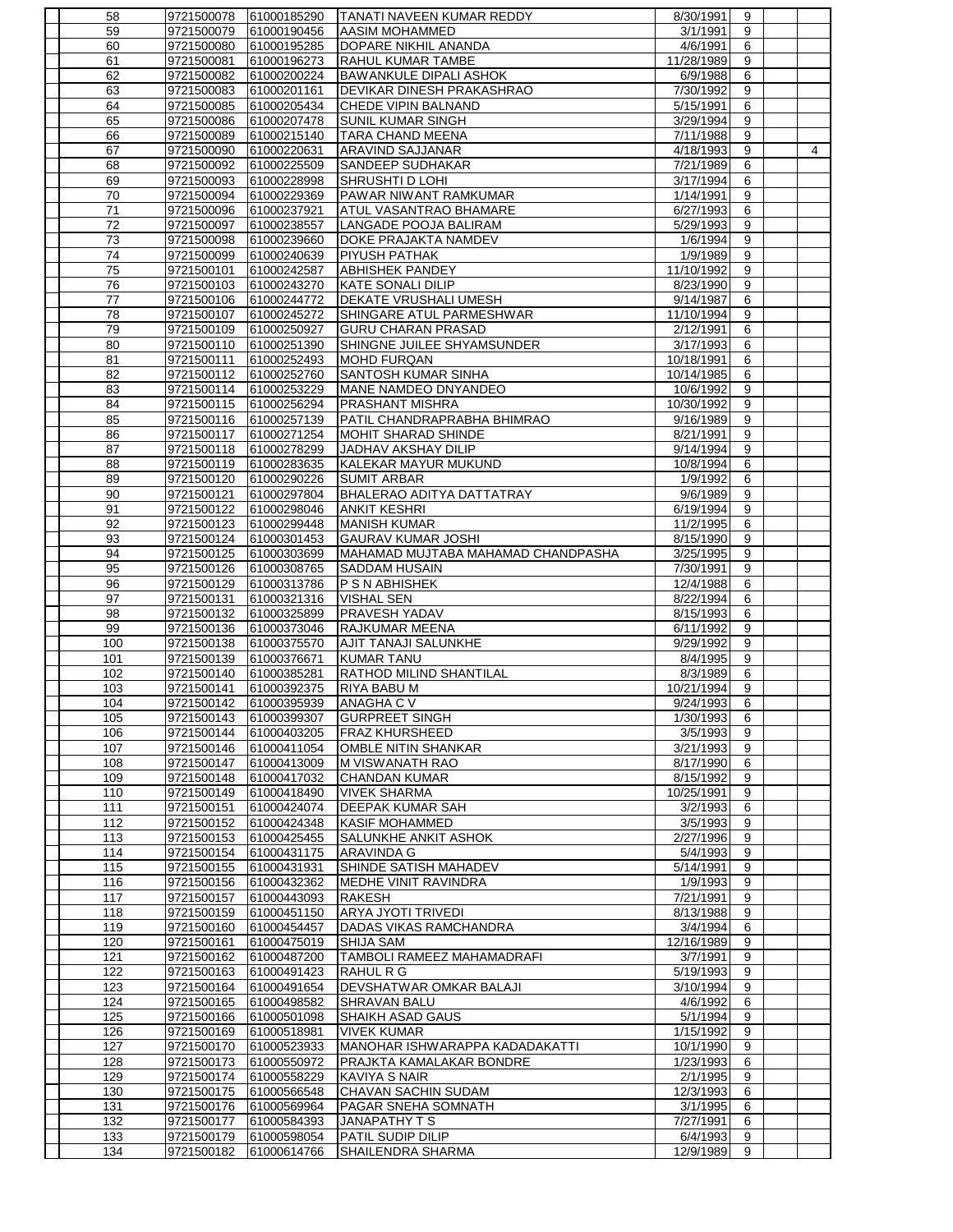| 58              | 9721500078               | 61000185290                | <b>TANATI NAVEEN KUMAR REDDY</b>                    | 8/30/1991              | 9      |                |
|-----------------|--------------------------|----------------------------|-----------------------------------------------------|------------------------|--------|----------------|
| 59              | 9721500079               | 61000190456                | <b>AASIM MOHAMMED</b>                               | 3/1/1991               | 9      |                |
| 60              | 9721500080               | 61000195285                | DOPARE NIKHIL ANANDA                                | 4/6/1991               | 6      |                |
| 61              | 9721500081               | 61000196273                | RAHUL KUMAR TAMBE                                   | 11/28/1989             | 9      |                |
| 62              | 9721500082               | 61000200224                | <b>BAWANKULE DIPALI ASHOK</b>                       | 6/9/1988               | 6      |                |
| 63              | 9721500083               | 61000201161                | <b>DEVIKAR DINESH PRAKASHRAO</b>                    | 7/30/1992              | 9      |                |
| 64              | 9721500085               | 61000205434                | <b>CHEDE VIPIN BALNAND</b>                          | 5/15/1991              | 6      |                |
| 65              | 9721500086               | 61000207478                | <b>SUNIL KUMAR SINGH</b>                            | 3/29/1994              | 9      |                |
| 66              | 9721500089               | 61000215140                | <b>TARA CHAND MEENA</b>                             | 7/11/1988              | 9      |                |
| 67<br>68        | 9721500090<br>9721500092 | 61000220631<br>61000225509 | <b>ARAVIND SAJJANAR</b><br>SANDEEP SUDHAKAR         | 4/18/1993<br>7/21/1989 | 9<br>6 | $\overline{4}$ |
| 69              | 9721500093               | 61000228998                | SHRUSHTI D LOHI                                     | 3/17/1994              | 6      |                |
| 70              | 9721500094               | 61000229369                | PAWAR NIWANT RAMKUMAR                               | 1/14/1991              | 9      |                |
| 71              | 9721500096               | 61000237921                | <b>ATUL VASANTRAO BHAMARE</b>                       | 6/27/1993              | 6      |                |
| 72              | 9721500097               | 61000238557                | LANGADE POOJA BALIRAM                               | 5/29/1993              | 9      |                |
| $\overline{73}$ | 9721500098               | 61000239660                | DOKE PRAJAKTA NAMDEV                                | 1/6/1994               | 9      |                |
| 74              | 9721500099               | 61000240639                | <b>PIYUSH PATHAK</b>                                | 1/9/1989               | 9      |                |
| 75              | 9721500101               | 61000242587                | <b>ABHISHEK PANDEY</b>                              | 11/10/1992             | 9      |                |
| 76              | 9721500103               | 61000243270                | <b>KATE SONALI DILIP</b>                            | 8/23/1990              | 9      |                |
| 77              | 9721500106               | 61000244772                | DEKATE VRUSHALI UMESH                               | 9/14/1987              | 6      |                |
| 78              | 9721500107               | 61000245272                | SHINGARE ATUL PARMESHWAR                            | 11/10/1994             | 9      |                |
| 79              | 9721500109               | 61000250927                | <b>GURU CHARAN PRASAD</b>                           | 2/12/1991              | 6      |                |
| 80              | 9721500110               | 61000251390                | SHINGNE JUILEE SHYAMSUNDER                          | 3/17/1993              | 6      |                |
| 81              | 9721500111               | 61000252493                | <b>MOHD FURQAN</b>                                  | 10/18/1991             | 6      |                |
| 82              | 9721500112               | 61000252760                | <b>SANTOSH KUMAR SINHA</b>                          | 10/14/1985             | 6      |                |
| 83              | 9721500114               | 61000253229                | MANE NAMDEO DNYANDEO                                | 10/6/1992              | 9      |                |
| 84              | 9721500115               | 61000256294                | <b>PRASHANT MISHRA</b>                              | 10/30/1992             | 9      |                |
| 85              | 9721500116               | 61000257139                | PATIL CHANDRAPRABHA BHIMRAO                         | 9/16/1989              | 9      |                |
| 86              | 9721500117               | 61000271254                | MOHIT SHARAD SHINDE                                 | 8/21/1991              | 9      |                |
| 87              | 9721500118               | 61000278299                | JADHAV AKSHAY DILIP                                 | 9/14/1994              | 9      |                |
| 88              | 9721500119               | 61000283635                | KALEKAR MAYUR MUKUND                                | 10/8/1994              | 6      |                |
| 89              | 9721500120               | 61000290226                | <b>SUMIT ARBAR</b>                                  | 1/9/1992               | 6      |                |
| 90              | 9721500121               | 61000297804                | BHALERAO ADITYA DATTATRAY                           | 9/6/1989               | 9      |                |
| 91              | 9721500122               | 61000298046                | <b>ANKIT KESHRI</b>                                 | 6/19/1994              | 9      |                |
| 92              | 9721500123               | 61000299448                | <b>MANISH KUMAR</b>                                 | 11/2/1995              | 6      |                |
| 93              | 9721500124               | 61000301453                | <b>GAURAV KUMAR JOSHI</b>                           | 8/15/1990              | 9      |                |
| 94              | 9721500125               | 61000303699                | MAHAMAD MUJTABA MAHAMAD CHANDPASHA                  | 3/25/1995              | 9      |                |
| 95              | 9721500126               | 61000308765                | <b>SADDAM HUSAIN</b>                                | 7/30/1991              | 9      |                |
|                 |                          |                            |                                                     |                        |        |                |
| 96              | 9721500129               | 61000313786                | P S N ABHISHEK                                      | 12/4/1988              | 6      |                |
| 97              | 9721500131               | 61000321316                | <b>VISHAL SEN</b>                                   | 8/22/1994              | 6      |                |
| 98              | 9721500132               | 61000325899                | <b>PRAVESH YADAV</b>                                | 8/15/1993              | 6      |                |
| 99              | 9721500136               | 61000373046                | <b>RAJKUMAR MEENA</b>                               | 6/11/1992              | 9      |                |
| 100             | 9721500138               | 61000375570                | AJIT TANAJI SALUNKHE                                | 9/29/1992              | 9<br>9 |                |
| 101             | 9721500139               | 61000376671                | <b>KUMAR TANU</b><br><b>RATHOD MILIND SHANTILAL</b> | 8/4/1995               | 6      |                |
| 102<br>103      | 9721500140<br>9721500141 | 61000385281<br>61000392375 | RIYA BABU M                                         | 8/3/1989<br>10/21/1994 | 9      |                |
| 104             | 9721500142               | 61000395939                | ANAGHA C V                                          | 9/24/1993              | 6      |                |
| 105             | 9721500143               | 61000399307                | <b>GURPREET SINGH</b>                               | 1/30/1993              | 6      |                |
| 106             | 9721500144               | 61000403205                | <b>FRAZ KHURSHEED</b>                               | 3/5/1993               | 9      |                |
| 107             | 9721500146               | 61000411054                | OMBLE NITIN SHANKAR                                 | 3/21/1993              | 9      |                |
| 108             | 9721500147               | 61000413009                | M VISWANATH RAO                                     | 8/17/1990              | 6      |                |
| 109             | 9721500148               | 61000417032                | <b>CHANDAN KUMAR</b>                                | 8/15/1992              | 9      |                |
| 110             | 9721500149               | 61000418490                | <b>VIVEK SHARMA</b>                                 | 10/25/1991             | 9      |                |
| 111             | 9721500151               | 61000424074                | <b>DEEPAK KUMAR SAH</b>                             | 3/2/1993               | 6      |                |
| 112             | 9721500152               | 61000424348                | <b>KASIF MOHAMMED</b>                               | 3/5/1993               | 9      |                |
| 113             | 9721500153               | 61000425455                | <b>SALUNKHE ANKIT ASHOK</b>                         | 2/27/1996              | 9      |                |
| 114             | 9721500154               | 61000431175                | <b>ARAVINDA G</b>                                   | 5/4/1993               | 9      |                |
| 115             | 9721500155               | 61000431931                | SHINDE SATISH MAHADEV                               | 5/14/1991              | 9      |                |
| 116             | 9721500156               | 61000432362                | <b>MEDHE VINIT RAVINDRA</b>                         | 1/9/1993               | 9      |                |
| 117             | 9721500157               | 61000443093                | <b>RAKESH</b>                                       | 7/21/1991              | 9      |                |
| 118             | 9721500159               | 61000451150                | ARYA JYOTI TRIVEDI                                  | 8/13/1988              | 9      |                |
| 119             | 9721500160               | 61000454457                | DADAS VIKAS RAMCHANDRA                              | 3/4/1994               | 6      |                |
| 120             | 9721500161               | 61000475019                | <b>SHIJA SAM</b>                                    | 12/16/1989             | 9      |                |
| 121<br>122      | 9721500162<br>9721500163 | 61000487200<br>61000491423 | TAMBOLI RAMEEZ MAHAMADRAFI<br><b>RAHUL R G</b>      | 3/7/1991<br>5/19/1993  | 9<br>9 |                |
| 123             | 9721500164               | 61000491654                | DEVSHATWAR OMKAR BALAJI                             | 3/10/1994              | 9      |                |
| 124             | 9721500165               | 61000498582                | <b>SHRAVAN BALU</b>                                 | 4/6/1992               | 6      |                |
| 125             | 9721500166               | 61000501098                | SHAIKH ASAD GAUS                                    | 5/1/1994               | 9      |                |
| 126             | 9721500169               | 61000518981                | <b>VIVEK KUMAR</b>                                  | 1/15/1992              | 9      |                |
| 127             | 9721500170               | 61000523933                | MANOHAR ISHWARAPPA KADADAKATTI                      | 10/1/1990              | 9      |                |
| 128             | 9721500173               | 61000550972                | PRAJKTA KAMALAKAR BONDRE                            | 1/23/1993              | 6      |                |
| 129             | 9721500174               | 61000558229                | <b>KAVIYA S NAIR</b>                                | 2/1/1995               | 9      |                |
| 130             | 9721500175               | 61000566548                | CHAVAN SACHIN SUDAM                                 | 12/3/1993              | 6      |                |
| 131             | 9721500176               | 61000569964                | PAGAR SNEHA SOMNATH                                 | 3/1/1995               | 6      |                |
| 132             | 9721500177               | 61000584393                | <b>JANAPATHY T S</b>                                | 7/27/1991              | 6      |                |
| 133<br>134      | 9721500179<br>9721500182 | 61000598054<br>61000614766 | PATIL SUDIP DILIP<br>SHAILENDRA SHARMA              | 6/4/1993<br>12/9/1989  | 9<br>9 |                |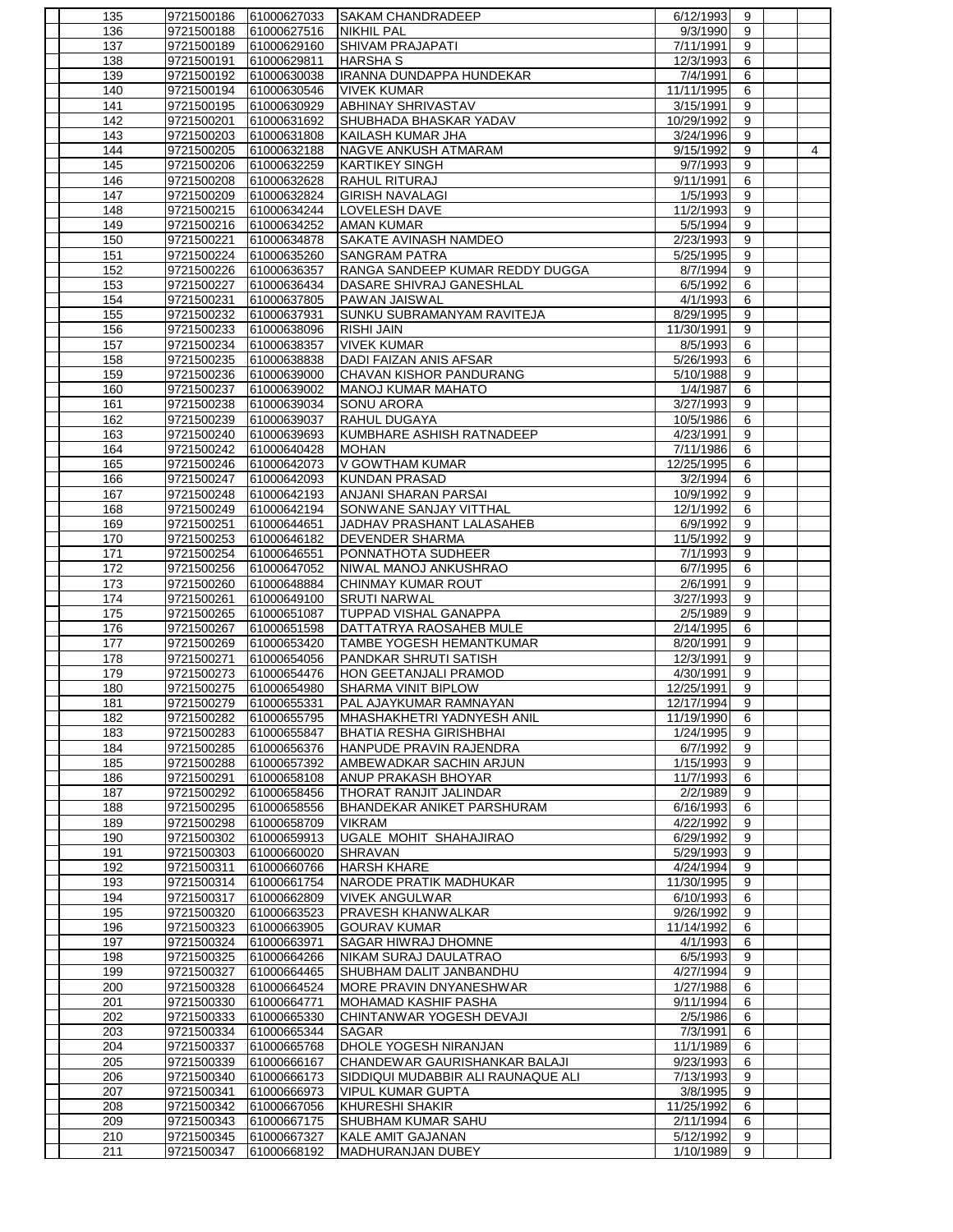| 135        | 9721500186 | 61000627033                | <b>ISAKAM CHANDRADEEP</b>                           | 6/12/1993  | 9                   |                |
|------------|------------|----------------------------|-----------------------------------------------------|------------|---------------------|----------------|
| 136        | 9721500188 | 61000627516                | <b>NIKHIL PAL</b>                                   | 9/3/1990   | 9                   |                |
| 137        | 9721500189 | 61000629160                | <b>SHIVAM PRAJAPATI</b>                             | 7/11/1991  | 9                   |                |
| 138        | 9721500191 | 61000629811                | <b>HARSHAS</b>                                      | 12/3/1993  | 6                   |                |
| 139        | 9721500192 | 61000630038                | <b>IRANNA DUNDAPPA HUNDEKAR</b>                     | 7/4/1991   | 6                   |                |
| 140        | 9721500194 | 61000630546                | <b>VIVEK KUMAR</b>                                  | 11/11/1995 | 6                   |                |
| 141        | 9721500195 | 61000630929                | <b>ABHINAY SHRIVASTAV</b>                           | 3/15/1991  | 9                   |                |
| 142        | 9721500201 | 61000631692                | SHUBHADA BHASKAR YADAV                              | 10/29/1992 | 9                   |                |
| 143        | 9721500203 | 61000631808                | KAILASH KUMAR JHA                                   | 3/24/1996  | 9                   |                |
| 144        | 9721500205 | 61000632188                | NAGVE ANKUSH ATMARAM                                | 9/15/1992  | 9                   | $\overline{4}$ |
| 145        | 9721500206 | 61000632259                | <b>KARTIKEY SINGH</b>                               | 9/7/1993   | $\boldsymbol{9}$    |                |
| 146        | 9721500208 | 61000632628                | RAHUL RITURAJ                                       | 9/11/1991  | 6                   |                |
| 147        | 9721500209 | 61000632824                | <b>GIRISH NAVALAGI</b>                              | 1/5/1993   | 9                   |                |
| 148        | 9721500215 | 61000634244                | <b>LOVELESH DAVE</b>                                | 11/2/1993  | 9                   |                |
| 149        | 9721500216 | 61000634252                | <b>AMAN KUMAR</b>                                   | 5/5/1994   | 9                   |                |
| 150        | 9721500221 | 61000634878                | <b>SAKATE AVINASH NAMDEO</b>                        | 2/23/1993  | 9                   |                |
| 151        | 9721500224 | 61000635260                | <b>SANGRAM PATRA</b>                                | 5/25/1995  | 9                   |                |
| 152        | 9721500226 | 61000636357                | RANGA SANDEEP KUMAR REDDY DUGGA                     | 8/7/1994   | 9                   |                |
| 153        | 9721500227 | 61000636434                | DASARE SHIVRAJ GANESHLAL                            | 6/5/1992   | 6                   |                |
| 154        | 9721500231 | 61000637805                | <b>PAWAN JAISWAL</b>                                | 4/1/1993   | 6                   |                |
| 155        | 9721500232 | 61000637931                | SUNKU SUBRAMANYAM RAVITEJA                          | 8/29/1995  | 9                   |                |
| 156        | 9721500233 | 61000638096                | <b>RISHI JAIN</b>                                   | 11/30/1991 | 9                   |                |
| 157        | 9721500234 | 61000638357                | <b>VIVEK KUMAR</b>                                  | 8/5/1993   | 6                   |                |
| 158        | 9721500235 | 61000638838                | <b>DADI FAIZAN ANIS AFSAR</b>                       | 5/26/1993  | 6                   |                |
| 159        | 9721500236 | 61000639000                | CHAVAN KISHOR PANDURANG                             | 5/10/1988  | 9                   |                |
| 160        | 9721500237 | 61000639002                | <b>MANOJ KUMAR MAHATO</b>                           | 1/4/1987   | 6                   |                |
| 161        | 9721500238 | 61000639034                | SONU ARORA                                          | 3/27/1993  | 9                   |                |
| 162        | 9721500239 | 61000639037                | RAHUL DUGAYA                                        | 10/5/1986  | 6                   |                |
| 163        | 9721500240 | 61000639693                | KUMBHARE ASHISH RATNADEEP                           | 4/23/1991  | 9                   |                |
| 164        | 9721500242 | 61000640428                | <b>MOHAN</b>                                        | 7/11/1986  | 6                   |                |
| 165        | 9721500246 | 61000642073                | V GOWTHAM KUMAR                                     | 12/25/1995 | 6                   |                |
| 166        | 9721500247 | 61000642093                | <b>KUNDAN PRASAD</b>                                | 3/2/1994   | 6                   |                |
| 167        | 9721500248 | 61000642193                | <b>ANJANI SHARAN PARSAI</b>                         | 10/9/1992  | 9                   |                |
| 168        | 9721500249 | 61000642194                | SONWANE SANJAY VITTHAL                              | 12/1/1992  | 6                   |                |
|            |            |                            |                                                     |            |                     |                |
| 169<br>170 | 9721500251 | 61000644651<br>61000646182 | JADHAV PRASHANT LALASAHEB<br><b>DEVENDER SHARMA</b> | 6/9/1992   | 9<br>$\overline{9}$ |                |
|            | 9721500253 |                            |                                                     | 11/5/1992  |                     |                |
| 171        | 9721500254 | 61000646551                | PONNATHOTA SUDHEER                                  | 7/1/1993   | 9                   |                |
| 172        | 9721500256 | 61000647052                | NIWAL MANOJ ANKUSHRAO                               | 6/7/1995   | 6                   |                |
| 173        | 9721500260 | 61000648884                | <b>CHINMAY KUMAR ROUT</b>                           | 2/6/1991   | 9                   |                |
| 174        | 9721500261 | 61000649100                | <b>SRUTI NARWAL</b>                                 | 3/27/1993  | 9                   |                |
| 175        | 9721500265 | 61000651087                | <b>TUPPAD VISHAL GANAPPA</b>                        | 2/5/1989   | $\boldsymbol{9}$    |                |
| 176        | 9721500267 | 61000651598                | DATTATRYA RAOSAHEB MULE                             | 2/14/1995  | 6                   |                |
| 177        | 9721500269 | 61000653420                | TAMBE YOGESH HEMANTKUMAR                            | 8/20/1991  | 9                   |                |
| 178        | 9721500271 | 61000654056                | PANDKAR SHRUTI SATISH                               | 12/3/1991  | 9                   |                |
| 179        | 9721500273 | 61000654476                | HON GEETANJALI PRAMOD                               | 4/30/1991  | 9                   |                |
| 180        | 9721500275 | 61000654980                | <b>SHARMA VINIT BIPLOW</b>                          | 12/25/1991 | 9                   |                |
| 181        | 9721500279 | 61000655331                | PAL AJAYKUMAR RAMNAYAN                              | 12/17/1994 | 9                   |                |
| 182        | 9721500282 | 61000655795                | MHASHAKHETRI YADNYESH ANIL                          | 11/19/1990 | 6                   |                |
| 183        | 9721500283 | 61000655847                | <b>BHATIA RESHA GIRISHBHAI</b>                      | 1/24/1995  | 9                   |                |
| 184        | 9721500285 | 61000656376                | HANPUDE PRAVIN RAJENDRA                             | 6/7/1992   | 9                   |                |
| 185        | 9721500288 | 61000657392                | AMBEWADKAR SACHIN ARJUN                             | 1/15/1993  | 9                   |                |
| 186        | 9721500291 | 61000658108                | ANUP PRAKASH BHOYAR                                 | 11/7/1993  | 6                   |                |
| 187        | 9721500292 | 61000658456                | THORAT RANJIT JALINDAR                              | 2/2/1989   | 9                   |                |
| 188        | 9721500295 | 61000658556                | BHANDEKAR ANIKET PARSHURAM                          | 6/16/1993  | 6                   |                |
| 189        | 9721500298 | 61000658709                | <b>VIKRAM</b>                                       | 4/22/1992  | 9                   |                |
| 190        | 9721500302 | 61000659913                | UGALE MOHIT SHAHAJIRAO                              | 6/29/1992  | 9                   |                |
| 191        | 9721500303 | 61000660020                | <b>SHRAVAN</b>                                      | 5/29/1993  | 9                   |                |
| 192        | 9721500311 | 61000660766                | <b>HARSH KHARE</b>                                  | 4/24/1994  | 9                   |                |
| 193        | 9721500314 | 61000661754                | NARODE PRATIK MADHUKAR                              | 11/30/1995 | 9                   |                |
| 194        | 9721500317 | 61000662809                | <b>VIVEK ANGULWAR</b>                               | 6/10/1993  | 6                   |                |
| 195        | 9721500320 | 61000663523                | PRAVESH KHANWALKAR                                  | 9/26/1992  | 9                   |                |
| 196        | 9721500323 | 61000663905                | <b>GOURAV KUMAR</b>                                 | 11/14/1992 | 6                   |                |
| 197        | 9721500324 | 61000663971                | SAGAR HIWRAJ DHOMNE                                 | 4/1/1993   | 6                   |                |
| 198        | 9721500325 | 61000664266                | NIKAM SURAJ DAULATRAO                               | 6/5/1993   | 9                   |                |
| 199        | 9721500327 | 61000664465                | SHUBHAM DALIT JANBANDHU                             | 4/27/1994  | 9                   |                |
| 200        | 9721500328 | 61000664524                | MORE PRAVIN DNYANESHWAR                             | 1/27/1988  | 6                   |                |
| 201        | 9721500330 | 61000664771                | MOHAMAD KASHIF PASHA                                | 9/11/1994  | 6                   |                |
| 202        | 9721500333 | 61000665330                | CHINTANWAR YOGESH DEVAJI                            | 2/5/1986   | 6                   |                |
| 203        | 9721500334 | 61000665344                | <b>SAGAR</b>                                        | 7/3/1991   | 6                   |                |
| 204        | 9721500337 | 61000665768                | DHOLE YOGESH NIRANJAN                               | 11/1/1989  | 6                   |                |
| 205        | 9721500339 | 61000666167                | CHANDEWAR GAURISHANKAR BALAJI                       | 9/23/1993  | 6                   |                |
| 206        | 9721500340 | 61000666173                | SIDDIQUI MUDABBIR ALI RAUNAQUE ALI                  | 7/13/1993  | 9                   |                |
| 207        | 9721500341 | 61000666973                | <b>VIPUL KUMAR GUPTA</b>                            | 3/8/1995   | 9                   |                |
| 208        | 9721500342 | 61000667056                | KHURESHI SHAKIR                                     | 11/25/1992 | 6                   |                |
| 209        | 9721500343 | 61000667175                | SHUBHAM KUMAR SAHU                                  | 2/11/1994  | 6                   |                |
| 210        | 9721500345 | 61000667327                | KALE AMIT GAJANAN                                   | 5/12/1992  | 9                   |                |
| 211        | 9721500347 | 61000668192                | MADHURANJAN DUBEY                                   | 1/10/1989  | 9                   |                |
|            |            |                            |                                                     |            |                     |                |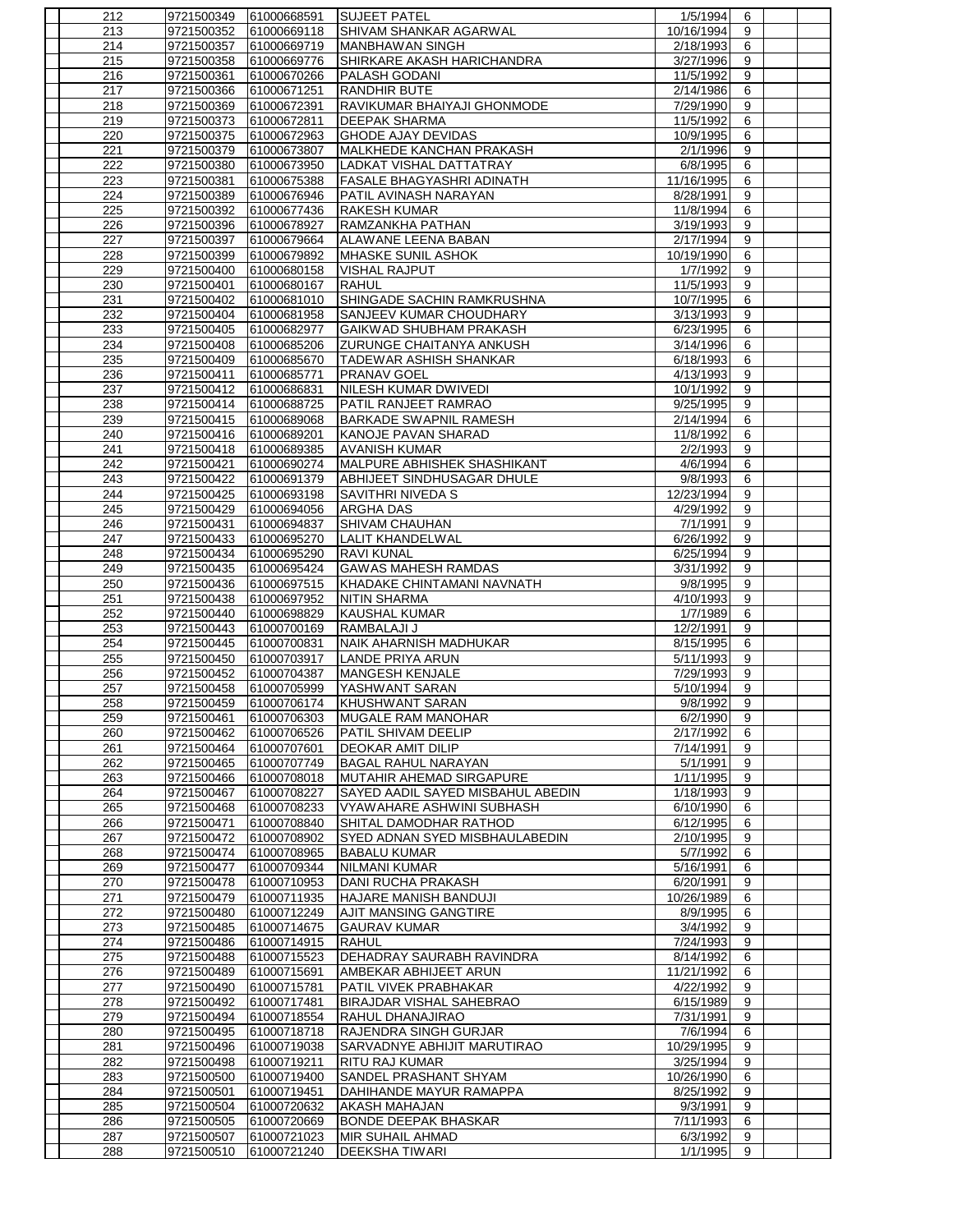| 212        | 9721500349               | 61000668591                | <b>SUJEET PATEL</b>                       | 1/5/1994             | 6              |  |
|------------|--------------------------|----------------------------|-------------------------------------------|----------------------|----------------|--|
| 213        | 9721500352               | 61000669118                | SHIVAM SHANKAR AGARWAL                    | 10/16/1994           | 9              |  |
| 214        | 9721500357               | 61000669719                | <b>MANBHAWAN SINGH</b>                    | 2/18/1993            | 6              |  |
| 215        | 9721500358               | 61000669776                | <b>SHIRKARE AKASH HARICHANDRA</b>         | 3/27/1996            | 9              |  |
| 216        | 9721500361               | 61000670266                | <b>PALASH GODANI</b>                      | 11/5/1992            | 9              |  |
| 217        | 9721500366               |                            | RANDHIR BUTE                              |                      |                |  |
|            |                          | 61000671251                |                                           | 2/14/1986            | 6              |  |
| 218        | 9721500369               | 61000672391                | RAVIKUMAR BHAIYAJI GHONMODE               | 7/29/1990            | 9              |  |
| 219        | 9721500373               | 61000672811                | <b>DEEPAK SHARMA</b>                      | 11/5/1992            | 6              |  |
| 220        | 9721500375               | 61000672963                | <b>GHODE AJAY DEVIDAS</b>                 | 10/9/1995            | 6              |  |
| 221        | 9721500379               | 61000673807                | MALKHEDE KANCHAN PRAKASH                  | 2/1/1996             | 9              |  |
| 222        | 9721500380               | 61000673950                | LADKAT VISHAL DATTATRAY                   | 6/8/1995             | 6              |  |
| 223        | 9721500381               | 61000675388                | <b>FASALE BHAGYASHRI ADINATH</b>          | 11/16/1995           | 6              |  |
| 224        | 9721500389               | 61000676946                | PATIL AVINASH NARAYAN                     | 8/28/1991            | 9              |  |
| 225        | 9721500392               | 61000677436                | <b>RAKESH KUMAR</b>                       | 11/8/1994            | 6              |  |
| 226        | 9721500396               | 61000678927                | RAMZANKHA PATHAN                          | 3/19/1993            | 9              |  |
|            |                          |                            |                                           |                      |                |  |
| 227        | 9721500397               | 61000679664                | ALAWANE LEENA BABAN                       | 2/17/1994            | $\overline{9}$ |  |
| 228        | 9721500399               | 61000679892                | MHASKE SUNIL ASHOK                        | 10/19/1990           | 6              |  |
| 229        | 9721500400               | 61000680158                | <b>VISHAL RAJPUT</b>                      | 1/7/1992             | 9              |  |
| 230        | 9721500401               | 61000680167                | <b>RAHUL</b>                              | 11/5/1993            | 9              |  |
| 231        | 9721500402               | 61000681010                | SHINGADE SACHIN RAMKRUSHNA                | 10/7/1995            | 6              |  |
| 232        | 9721500404               | 61000681958                | <b>SANJEEV KUMAR CHOUDHARY</b>            | 3/13/1993            | $\overline{9}$ |  |
| 233        | 9721500405               | 61000682977                | GAIKWAD SHUBHAM PRAKASH                   | 6/23/1995            | 6              |  |
| 234        | 9721500408               | 61000685206                | <b>ZURUNGE CHAITANYA ANKUSH</b>           | 3/14/1996            | 6              |  |
| 235        | 9721500409               | 61000685670                | <b>TADEWAR ASHISH SHANKAR</b>             | 6/18/1993            | 6              |  |
|            |                          | 61000685771                | <b>PRANAV GOEL</b>                        |                      |                |  |
| 236        | 9721500411               |                            |                                           | 4/13/1993            | 9              |  |
| 237        | 9721500412               | 61000686831                | NILESH KUMAR DWIVEDI                      | 10/1/1992            | $\overline{9}$ |  |
| 238        | 9721500414               | 61000688725                | PATIL RANJEET RAMRAO                      | 9/25/1995            | 9              |  |
| 239        | 9721500415               | 61000689068                | <b>BARKADE SWAPNIL RAMESH</b>             | 2/14/1994            | 6              |  |
| 240        | 9721500416               | 61000689201                | KANOJE PAVAN SHARAD                       | 11/8/1992            | 6              |  |
| 241        | 9721500418               | 61000689385                | <b>AVANISH KUMAR</b>                      | 2/2/1993             | 9              |  |
| 242        | 9721500421               | 61000690274                | MALPURE ABHISHEK SHASHIKANT               | 4/6/1994             | 6              |  |
| 243        | 9721500422               | 61000691379                | ABHIJEET SINDHUSAGAR DHULE                | 9/8/1993             | 6              |  |
| 244        | 9721500425               | 61000693198                | SAVITHRI NIVEDA S                         | 12/23/1994           | 9              |  |
| 245        | 9721500429               | 61000694056                | <b>ARGHA DAS</b>                          | 4/29/1992            | 9              |  |
|            |                          |                            |                                           |                      |                |  |
| 246        | 9721500431               | 61000694837                | <b>SHIVAM CHAUHAN</b>                     | 7/1/1991             | 9              |  |
| 247        | 9721500433               | 61000695270                | <b>LALIT KHANDELWAL</b>                   | 6/26/1992            | $\overline{9}$ |  |
| 248        | 9721500434               | 61000695290                | <b>RAVI KUNAL</b>                         | 6/25/1994            | 9              |  |
| 249        | 9721500435               | 61000695424                | <b>GAWAS MAHESH RAMDAS</b>                | 3/31/1992            | 9              |  |
| 250        | 9721500436               | 61000697515                | KHADAKE CHINTAMANI NAVNATH                | 9/8/1995             | 9              |  |
| 251        | 9721500438               | 61000697952                | <b>NITIN SHARMA</b>                       | 4/10/1993            | 9              |  |
| 252        | 9721500440               | 61000698829                | <b>KAUSHAL KUMAR</b>                      | 1/7/1989             | 6              |  |
| 253        | 9721500443               | 61000700169                | RAMBALAJI J                               | 12/2/1991            | 9              |  |
| 254        | 9721500445               | 61000700831                | NAIK AHARNISH MADHUKAR                    | 8/15/1995            | 6              |  |
| 255        | 9721500450               | 61000703917                | <b>LANDE PRIYA ARUN</b>                   | 5/11/1993            | 9              |  |
|            |                          |                            |                                           |                      |                |  |
| 256        | 9721500452               | 61000704387                | MANGESH KENJALE                           | 7/29/1993            | 9              |  |
| 257        | 9721500458               | 61000705999                | <b>YASHWANT SARAN</b>                     | 5/10/1994            | 9              |  |
| 258        | 9721500459               | 61000706174                | <b>IKHUSHWANT SARAN</b>                   | 9/8/1992             | $\mathsf{Q}$   |  |
| 259        | 9721500461               | 61000706303                | MUGALE RAM MANOHAR                        | 6/2/1990             | 9              |  |
| 260        | 9721500462               | 61000706526                | PATIL SHIVAM DEELIP                       | 2/17/1992            | 6              |  |
| 261        | 9721500464               | 61000707601                | <b>DEOKAR AMIT DILIP</b>                  | 7/14/1991            | 9              |  |
| 262        | 9721500465               | 61000707749                | <b>BAGAL RAHUL NARAYAN</b>                | 5/1/1991             | 9              |  |
| 263        | 9721500466               | 61000708018                | MUTAHIR AHEMAD SIRGAPURE                  | 1/11/1995            | 9              |  |
| 264        | 9721500467               | 61000708227                | SAYED AADIL SAYED MISBAHUL ABEDIN         | 1/18/1993            | 9              |  |
|            |                          |                            |                                           |                      |                |  |
| 265        | 9721500468               | 61000708233                | VYAW AHARE ASHWINI SUBHASH                | 6/10/1990            | 6              |  |
| 266        | 9721500471               | 61000708840                | SHITAL DAMODHAR RATHOD                    | 6/12/1995            | 6              |  |
| 267        | 9721500472               | 61000708902                | SYED ADNAN SYED MISBHAULABEDIN            | 2/10/1995            | 9              |  |
| 268        | 9721500474               | 61000708965                | <b>BABALU KUMAR</b>                       | 5/7/1992             | 6              |  |
| 269        | 9721500477               | 61000709344                | NILMANI KUMAR                             | 5/16/1991            | 6              |  |
| 270        | 9721500478               | 61000710953                | DANI RUCHA PRAKASH                        | 6/20/1991            | 9              |  |
| 271        | 9721500479               | 61000711935                | HAJARE MANISH BANDUJI                     | 10/26/1989           | 6              |  |
| 272        | 9721500480               | 61000712249                | AJIT MANSING GANGTIRE                     | 8/9/1995             | 6              |  |
| 273        | 9721500485               | 61000714675                | <b>GAURAV KUMAR</b>                       | 3/4/1992             | 9              |  |
| 274        | 9721500486               | 61000714915                | <b>RAHUL</b>                              | 7/24/1993            | 9              |  |
| 275        | 9721500488               | 61000715523                | DEHADRAY SAURABH RAVINDRA                 | 8/14/1992            | 6              |  |
|            |                          |                            |                                           |                      |                |  |
| 276        | 9721500489               | 61000715691                | AMBEKAR ABHIJEET ARUN                     | 11/21/1992           | 6              |  |
| 277        | 9721500490               | 61000715781                | PATIL VIVEK PRABHAKAR                     | 4/22/1992            | 9              |  |
| 278        | 9721500492               | 61000717481                | BIRAJDAR VISHAL SAHEBRAO                  | 6/15/1989            | 9              |  |
| 279        | 9721500494               | 61000718554                | RAHUL DHANAJIRAO                          | 7/31/1991            | 9              |  |
| 280        | 9721500495               | 61000718718                | RAJENDRA SINGH GURJAR                     | 7/6/1994             | 6              |  |
| 281        | 9721500496               | 61000719038                | SARVADNYE ABHIJIT MARUTIRAO               | 10/29/1995           | 9              |  |
| 282        | 9721500498               | 61000719211                | <b>RITU RAJ KUMAR</b>                     | 3/25/1994            | 9              |  |
| 283        |                          |                            |                                           |                      | 6              |  |
|            |                          |                            |                                           |                      |                |  |
|            | 9721500500               | 61000719400                | SANDEL PRASHANT SHYAM                     | 10/26/1990           |                |  |
| 284        | 9721500501               | 61000719451                | DAHIHANDE MAYUR RAMAPPA                   | 8/25/1992            | 9              |  |
| 285        | 9721500504               | 61000720632                | <b>AKASH MAHAJAN</b>                      | 9/3/1991             | 9              |  |
| 286        | 9721500505               | 61000720669                | <b>BONDE DEEPAK BHASKAR</b>               | 7/11/1993            | 6              |  |
| 287<br>288 | 9721500507<br>9721500510 | 61000721023<br>61000721240 | MIR SUHAIL AHMAD<br><b>DEEKSHA TIWARI</b> | 6/3/1992<br>1/1/1995 | 9<br>9         |  |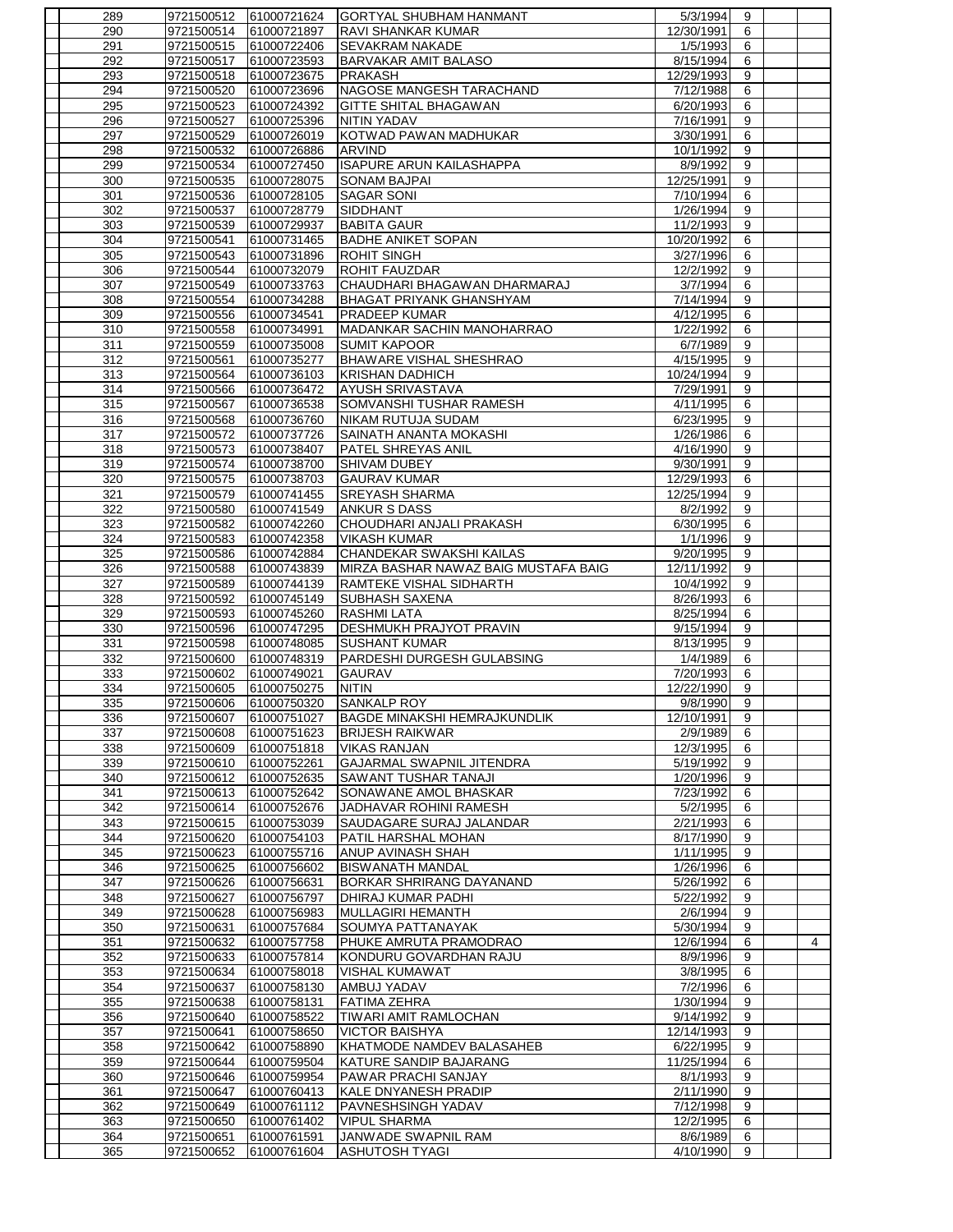| 289        | 9721500512               | 61000721624                | GORTYAL SHUBHAM HANMANT                      | 5/3/1994              | 9              |   |
|------------|--------------------------|----------------------------|----------------------------------------------|-----------------------|----------------|---|
| 290        | 9721500514               | 61000721897                | <b>RAVI SHANKAR KUMAR</b>                    | 12/30/1991            | 6              |   |
| 291        | 9721500515               | 61000722406                | <b>SEVAKRAM NAKADE</b>                       | 1/5/1993              | 6              |   |
| 292        | 9721500517               | 61000723593                | <b>BARVAKAR AMIT BALASO</b>                  | 8/15/1994             | 6              |   |
| 293        | 9721500518               | 61000723675                | <b>PRAKASH</b>                               | 12/29/1993            | 9              |   |
| 294        | 9721500520               | 61000723696                | NAGOSE MANGESH TARACHAND                     | 7/12/1988             | 6              |   |
| 295        | 9721500523               | 61000724392                | <b>GITTE SHITAL BHAGAWAN</b>                 | 6/20/1993             | 6              |   |
| 296        | 9721500527               | 61000725396                | NITIN YADAV                                  | 7/16/1991             | 9              |   |
| 297        | 9721500529               | 61000726019                | KOTWAD PAWAN MADHUKAR                        | 3/30/1991             | 6              |   |
| 298        | 9721500532               | 61000726886                | <b>ARVIND</b>                                | 10/1/1992             | 9              |   |
| 299        | 9721500534               | 61000727450                | <b>ISAPURE ARUN KAILASHAPPA</b>              | 8/9/1992              | 9              |   |
| 300        | 9721500535               | 61000728075                | <b>SONAM BAJPAI</b>                          | 12/25/1991            | 9              |   |
| 301        | 9721500536               | 61000728105                | <b>SAGAR SONI</b>                            | 7/10/1994             | 6              |   |
| 302        | 9721500537               | 61000728779                | <b>SIDDHANT</b>                              | 1/26/1994             | 9              |   |
| 303        | 9721500539               | 61000729937                | <b>BABITA GAUR</b>                           | 11/2/1993             | 9              |   |
| 304        | 9721500541               | 61000731465                | <b>BADHE ANIKET SOPAN</b>                    | 10/20/1992            | 6              |   |
| 305        | 9721500543               | 61000731896                | <b>ROHIT SINGH</b>                           | 3/27/1996             | 6              |   |
| 306        | 9721500544               | 61000732079                | ROHIT FAUZDAR                                | 12/2/1992             | 9              |   |
| 307        | 9721500549               | 61000733763                | CHAUDHARI BHAGAWAN DHARMARAJ                 | 3/7/1994              | 6              |   |
|            |                          |                            |                                              |                       |                |   |
| 308        | 9721500554               | 61000734288                | <b>BHAGAT PRIYANK GHANSHYAM</b>              | 7/14/1994             | 9              |   |
| 309        | 9721500556               | 61000734541                | PRADEEP KUMAR                                | 4/12/1995             | 6              |   |
| 310        | 9721500558               | 61000734991                | MADANKAR SACHIN MANOHARRAO                   | 1/22/1992             | 6              |   |
| 311        | 9721500559               | 61000735008                | <b>SUMIT KAPOOR</b>                          | 6/7/1989              | 9              |   |
| 312        | 9721500561               | 61000735277                | BHAWARE VISHAL SHESHRAO                      | 4/15/1995             | 9              |   |
| 313        | 9721500564               | 61000736103                | <b>KRISHAN DADHICH</b>                       | 10/24/1994            | 9              |   |
| 314        | 9721500566               | 61000736472                | <b>AYUSH SRIVASTAVA</b>                      | 7/29/1991             | $\overline{9}$ |   |
| 315        | 9721500567               | 61000736538                | SOMVANSHI TUSHAR RAMESH                      | 4/11/1995             | 6              |   |
| 316        | 9721500568               | 61000736760                | <b>NIKAM RUTUJA SUDAM</b>                    | 6/23/1995             | 9              |   |
| 317        | 9721500572               | 61000737726                | SAINATH ANANTA MOKASHI                       | 1/26/1986             | 6              |   |
| 318        | 9721500573               | 61000738407                | <b>PATEL SHREYAS ANIL</b>                    | 4/16/1990             | 9              |   |
| 319        | 9721500574               | 61000738700                | SHIVAM DUBEY                                 | 9/30/1991             | $\overline{9}$ |   |
| 320        | 9721500575               | 61000738703                | <b>GAURAV KUMAR</b>                          | 12/29/1993            | 6              |   |
| 321        | 9721500579               | 61000741455                | <b>SREYASH SHARMA</b>                        | 12/25/1994            | 9              |   |
| 322        | 9721500580               | 61000741549                | <b>ANKUR S DASS</b>                          | 8/2/1992              | 9              |   |
| 323        | 9721500582               | 61000742260                | CHOUDHARI ANJALI PRAKASH                     | 6/30/1995             | 6              |   |
| 324        | 9721500583               | 61000742358                | <b>VIKASH KUMAR</b>                          | 1/1/1996              | 9              |   |
| 325        | 9721500586               | 61000742884                | CHANDEKAR SWAKSHI KAILAS                     | 9/20/1995             | 9              |   |
| 326        | 9721500588               | 61000743839                | MIRZA BASHAR NAWAZ BAIG MUSTAFA BAIG         | 12/11/1992            | 9              |   |
| 327        | 9721500589               | 61000744139                | RAMTEKE VISHAL SIDHARTH                      | 10/4/1992             | 9              |   |
| 328        | 9721500592               | 61000745149                | <b>SUBHASH SAXENA</b>                        | 8/26/1993             | 6              |   |
| 329        | 9721500593               | 61000745260                | <b>RASHMI LATA</b>                           | 8/25/1994             | 6              |   |
| 330        | 9721500596               | 61000747295                | DESHMUKH PRAJYOT PRAVIN                      | 9/15/1994             | 9              |   |
| 331        | 9721500598               | 61000748085                | <b>SUSHANT KUMAR</b>                         | 8/13/1995             | 9              |   |
| 332        | 9721500600               | 61000748319                | PARDESHI DURGESH GULABSING                   | 1/4/1989              | 6              |   |
| 333        | 9721500602               | 61000749021                | <b>GAURAV</b>                                | 7/20/1993             | 6              |   |
| 334        | 9721500605               | 61000750275                | <b>NITIN</b>                                 | 12/22/1990            | 9              |   |
| 335        | 9721500606               | 61000750320                | <b>SANKALP ROY</b>                           | 9/8/1990              | 9              |   |
|            |                          | 61000751027                | <b>BAGDE MINAKSHI HEMRAJKUNDLIK</b>          | 12/10/1991            |                |   |
| 336        | 9721500607               |                            |                                              |                       | 9              |   |
| 337        | 9721500608               | 61000751623                | <b>BRIJESH RAIKWAR</b>                       | 2/9/1989              | 6              |   |
| 338        | 9721500609               | 61000751818                | <b>VIKAS RANJAN</b>                          | 12/3/1995             | 6              |   |
| 339        | 9721500610               | 61000752261                | GAJARMAL SWAPNIL JITENDRA                    | 5/19/1992             | 9              |   |
| 340        | 9721500612               | 61000752635                | SAWANT TUSHAR TANAJI                         | 1/20/1996             | 9              |   |
| 341        | 9721500613               | 61000752642                | SONAWANE AMOL BHASKAR                        | 7/23/1992             | 6              |   |
| 342        | 9721500614               | 61000752676                | JADHAVAR ROHINI RAMESH                       | 5/2/1995              | 6              |   |
| 343        | 9721500615               | 61000753039                | SAUDAGARE SURAJ JALANDAR                     | 2/21/1993             | 6              |   |
| 344        |                          |                            | PATIL HARSHAL MOHAN                          |                       |                |   |
| 345        | 9721500620               | 61000754103                |                                              | 8/17/1990             | 9              |   |
|            | 9721500623               | 61000755716                | ANUP AVINASH SHAH                            | 1/11/1995             | 9              |   |
| 346        | 9721500625               | 61000756602                | <b>BISWANATH MANDAL</b>                      | 1/26/1996             | 6              |   |
| 347        | 9721500626               | 61000756631                | BORKAR SHRIRANG DAYANAND                     | 5/26/1992             | 6              |   |
| 348        | 9721500627               | 61000756797                | DHIRAJ KUMAR PADHI                           | 5/22/1992             | 9              |   |
| 349        | 9721500628               | 61000756983                | MULLAGIRI HEMANTH                            | 2/6/1994              | 9              |   |
| 350        | 9721500631               | 61000757684                | SOUMYA PATTANAYAK                            | 5/30/1994             | 9              |   |
| 351        | 9721500632               | 61000757758                | PHUKE AMRUTA PRAMODRAO                       | 12/6/1994             | 6              | 4 |
| 352        | 9721500633               | 61000757814                | KONDURU GOVARDHAN RAJU                       | 8/9/1996              | 9              |   |
| 353        | 9721500634               | 61000758018                | <b>VISHAL KUMAWAT</b>                        | 3/8/1995              | 6              |   |
| 354        | 9721500637               | 61000758130                | AMBUJ YADAV                                  | 7/2/1996              | 6              |   |
| 355        | 9721500638               | 61000758131                | <b>FATIMA ZEHRA</b>                          | 1/30/1994             | 9              |   |
| 356        | 9721500640               | 61000758522                | TIWARI AMIT RAMLOCHAN                        | 9/14/1992             | 9              |   |
| 357        | 9721500641               | 61000758650                | <b>VICTOR BAISHYA</b>                        | 12/14/1993            | 9              |   |
| 358        | 9721500642               | 61000758890                | KHATMODE NAMDEV BALASAHEB                    | 6/22/1995             | 9              |   |
| 359        | 9721500644               | 61000759504                | KATURE SANDIP BAJARANG                       | 11/25/1994            | 6              |   |
| 360        | 9721500646               | 61000759954                | PAWAR PRACHI SANJAY                          | 8/1/1993              | 9              |   |
| 361        | 9721500647               | 61000760413                | KALE DNYANESH PRADIP                         | 2/11/1990             | 9              |   |
| 362        |                          |                            |                                              | 7/12/1998             | 9              |   |
|            | 9721500649               | 61000761112                | PAVNESHSINGH YADAV                           |                       |                |   |
| 363        | 9721500650               | 61000761402                | <b>VIPUL SHARMA</b>                          | 12/2/1995             | 6              |   |
| 364<br>365 | 9721500651<br>9721500652 | 61000761591<br>61000761604 | JANWADE SWAPNIL RAM<br><b>ASHUTOSH TYAGI</b> | 8/6/1989<br>4/10/1990 | 6<br>9         |   |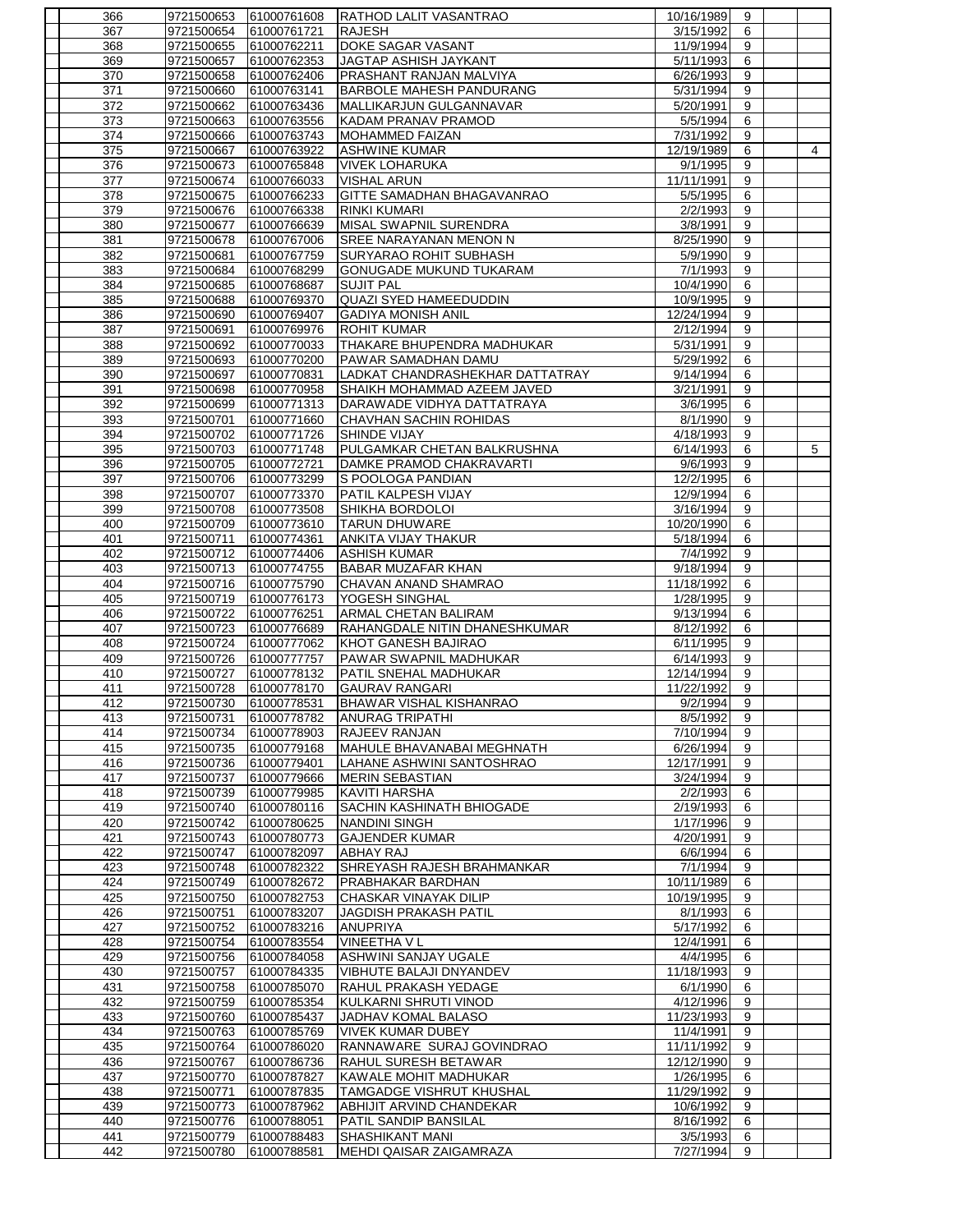| 366        | 9721500653               | 61000761608                | <b>RATHOD LALIT VASANTRAO</b>                   | 10/16/1989             | 9              |                |
|------------|--------------------------|----------------------------|-------------------------------------------------|------------------------|----------------|----------------|
| 367        | 9721500654               | 61000761721                | <b>RAJESH</b>                                   | 3/15/1992              | 6              |                |
| 368        | 9721500655               | 61000762211                | DOKE SAGAR VASANT                               | 11/9/1994              | 9              |                |
| 369        | 9721500657               | 61000762353                | JAGTAP ASHISH JAYKANT                           | 5/11/1993              | 6              |                |
| 370        | 9721500658               | 61000762406                | PRASHANT RANJAN MALVIYA                         | 6/26/1993              | 9              |                |
| 371        | 9721500660               | 61000763141                | BARBOLE MAHESH PANDURANG                        | 5/31/1994              | 9              |                |
| 372        | 9721500662               | 61000763436                | MALLIKARJUN GULGANNAVAR                         | 5/20/1991              | 9              |                |
| 373        | 9721500663               | 61000763556                | KADAM PRANAV PRAMOD                             | 5/5/1994               | 6              |                |
| 374        | 9721500666               | 61000763743                | <b>MOHAMMED FAIZAN</b>                          | 7/31/1992              | 9              |                |
| 375        | 9721500667               | 61000763922                | <b>ASHWINE KUMAR</b>                            | 12/19/1989             | 6              | $\overline{4}$ |
| 376        | 9721500673               | 61000765848                | <b>VIVEK LOHARUKA</b>                           | 9/1/1995               | 9              |                |
| 377        | 9721500674               | 61000766033                | <b>VISHAL ARUN</b>                              | 11/11/1991             | 9              |                |
| 378        | 9721500675               | 61000766233                | GITTE SAMADHAN BHAGAVANRAO                      | 5/5/1995               | 6              |                |
| 379        | 9721500676               | 61000766338                | <b>RINKI KUMARI</b>                             | 2/2/1993               | 9              |                |
| 380        | 9721500677               | 61000766639                | MISAL SWAPNIL SURENDRA                          | 3/8/1991               | 9              |                |
| 381        | 9721500678               | 61000767006                | <b>SREE NARAYANAN MENON N</b>                   | 8/25/1990              | $\overline{9}$ |                |
| 382        | 9721500681               | 61000767759                | SURYARAO ROHIT SUBHASH                          | 5/9/1990               | 9              |                |
| 383        | 9721500684               | 61000768299                | GONUGADE MUKUND TUKARAM                         | 7/1/1993               | 9              |                |
| 384        | 9721500685               | 61000768687                | <b>SUJIT PAL</b>                                | 10/4/1990              | 6              |                |
| 385        | 9721500688               | 61000769370                | QUAZI SYED HAMEEDUDDIN                          | 10/9/1995              | 9              |                |
| 386        | 9721500690               | 61000769407                | <b>GADIYA MONISH ANIL</b>                       | 12/24/1994             | $\overline{9}$ |                |
| 387        | 9721500691               | 61000769976                | <b>ROHIT KUMAR</b>                              | 2/12/1994              | 9              |                |
| 388        | 9721500692               | 61000770033                | THAKARE BHUPENDRA MADHUKAR                      | 5/31/1991              | 9              |                |
| 389        | 9721500693               | 61000770200                | PAWAR SAMADHAN DAMU                             | 5/29/1992              | 6              |                |
| 390        | 9721500697               | 61000770831                | LADKAT CHANDRASHEKHAR DATTATRAY                 | 9/14/1994              | 6              |                |
| 391        | 9721500698               | 61000770958                | SHAIKH MOHAMMAD AZEEM JAVED                     | 3/21/1991              | 9              |                |
| 392        | 9721500699               | 61000771313                | DARAWADE VIDHYA DATTATRAYA                      | 3/6/1995               | 6              |                |
| 393        | 9721500701               | 61000771660                | CHAVHAN SACHIN ROHIDAS                          | 8/1/1990               | 9              |                |
| 394        | 9721500702               | 61000771726                | SHINDE VIJAY                                    | 4/18/1993              | 9              |                |
| 395        | 9721500703               | 61000771748                | PULGAMKAR CHETAN BALKRUSHNA                     | 6/14/1993              | 6              | 5              |
| 396        | 9721500705               | 61000772721                | DAMKE PRAMOD CHAKRAVARTI                        | 9/6/1993               | 9              |                |
| 397        | 9721500706               | 61000773299                | S POOLOGA PANDIAN                               | 12/2/1995              | 6              |                |
| 398        | 9721500707               | 61000773370                | PATIL KALPESH VIJAY                             | 12/9/1994              | 6              |                |
| 399        | 9721500708               | 61000773508                | SHIKHA BORDOLOI                                 | 3/16/1994              | 9              |                |
| 400        | 9721500709               | 61000773610                | <b>TARUN DHUWARE</b>                            | 10/20/1990             | 6              |                |
| 401        | 9721500711               | 61000774361                | ANKITA VIJAY THAKUR                             | 5/18/1994              | 6              |                |
| 402        | 9721500712               | 61000774406                | <b>ASHISH KUMAR</b>                             | 7/4/1992               | 9              |                |
| 403        | 9721500713               | 61000774755                | <b>BABAR MUZAFAR KHAN</b>                       | 9/18/1994              | 9              |                |
| 404        | 9721500716               | 61000775790                | CHAVAN ANAND SHAMRAO                            | 11/18/1992             | 6              |                |
| 405        | 9721500719               | 61000776173                | YOGESH SINGHAL                                  | 1/28/1995              | 9              |                |
| 406        | 9721500722               | 61000776251                | ARMAL CHETAN BALIRAM                            | 9/13/1994              | 6              |                |
| 407        | 9721500723               | 61000776689                | RAHANGDALE NITIN DHANESHKUMAR                   | 8/12/1992              | 6              |                |
| 408        | 9721500724               | 61000777062                | KHOT GANESH BAJIRAO                             | 6/11/1995              | 9              |                |
| 409        | 9721500726               | 61000777757                | PAWAR SWAPNIL MADHUKAR                          | 6/14/1993              | 9              |                |
| 410        | 9721500727               | 61000778132                | PATIL SNEHAL MADHUKAR                           | 12/14/1994             | 9              |                |
| 411        | 9721500728               | 61000778170                | <b>GAURAV RANGARI</b>                           | 11/22/1992             | 9              |                |
| 412        | 9721500730               | 61000778531                | <b>BHAWAR VISHAL KISHANRAO</b>                  | 9/2/1994               | 9              |                |
| 413        | 9721500731               | 61000778782                | <b>ANURAG TRIPATHI</b>                          | 8/5/1992               | 9              |                |
| 414        | 9721500734               | 61000778903                | <b>RAJEEV RANJAN</b>                            | 7/10/1994              | 9              |                |
| 415        | 9721500735               | 61000779168                | MAHULE BHAVANABAI MEGHNATH                      | 6/26/1994              | 9              |                |
| 416        | 9721500736               | 61000779401                | LAHANE ASHWINI SANTOSHRAO                       | 12/17/1991             | 9              |                |
| 417        | 9721500737               | 61000779666                | <b>MERIN SEBASTIAN</b>                          | 3/24/1994              | 9              |                |
| 418        | 9721500739               | 61000779985                | <b>KAVITI HARSHA</b>                            | 2/2/1993               | 6              |                |
| 419        | 9721500740               | 61000780116                | SACHIN KASHINATH BHIOGADE                       | 2/19/1993              | 6              |                |
| 420        | 9721500742               | 61000780625<br>61000780773 | <b>NANDINI SINGH</b>                            | 1/17/1996<br>4/20/1991 | 9              |                |
| 421        | 9721500743               |                            | <b>GAJENDER KUMAR</b>                           |                        | 9              |                |
| 422        | 9721500747               | 61000782097                | ABHAY RAJ                                       | 6/6/1994<br>7/1/1994   | 6              |                |
| 423<br>424 | 9721500748<br>9721500749 | 61000782322<br>61000782672 | SHREYASH RAJESH BRAHMANKAR<br>PRABHAKAR BARDHAN | 10/11/1989             | 9<br>6         |                |
| 425        | 9721500750               | 61000782753                | CHASKAR VINAYAK DILIP                           | 10/19/1995             | 9              |                |
| 426        | 9721500751               | 61000783207                | <b>JAGDISH PRAKASH PATIL</b>                    | 8/1/1993               | 6              |                |
| 427        | 9721500752               | 61000783216                | <b>ANUPRIYA</b>                                 | 5/17/1992              | 6              |                |
| 428        | 9721500754               | 61000783554                | <b>VINEETHA V L</b>                             | 12/4/1991              | 6              |                |
| 429        | 9721500756               | 61000784058                | <b>ASHWINI SANJAY UGALE</b>                     | 4/4/1995               | 6              |                |
| 430        | 9721500757               | 61000784335                | VIBHUTE BALAJI DNYANDEV                         | 11/18/1993             | 9              |                |
| 431        | 9721500758               | 61000785070                | <b>RAHUL PRAKASH YEDAGE</b>                     | 6/1/1990               | 6              |                |
| 432        | 9721500759               | 61000785354                | KULKARNI SHRUTI VINOD                           | 4/12/1996              | 9              |                |
| 433        | 9721500760               | 61000785437                | JADHAV KOMAL BALASO                             | 11/23/1993             | 9              |                |
| 434        | 9721500763               | 61000785769                | <b>VIVEK KUMAR DUBEY</b>                        | 11/4/1991              | 9              |                |
| 435        | 9721500764               | 61000786020                | RANNAWARE SURAJ GOVINDRAO                       | 11/11/1992             | 9              |                |
| 436        | 9721500767               | 61000786736                | RAHUL SURESH BETAWAR                            | 12/12/1990             | 9              |                |
| 437        | 9721500770               | 61000787827                | KAWALE MOHIT MADHUKAR                           | 1/26/1995              | 6              |                |
| 438        | 9721500771               | 61000787835                | TAMGADGE VISHRUT KHUSHAL                        | 11/29/1992             | 9              |                |
| 439        | 9721500773               | 61000787962                | ABHIJIT ARVIND CHANDEKAR                        | 10/6/1992              | 9              |                |
| 440        | 9721500776               | 61000788051                | PATIL SANDIP BANSILAL                           | 8/16/1992              | 6              |                |
| 441        | 9721500779               | 61000788483                | <b>SHASHIKANT MANI</b>                          | 3/5/1993               | 6              |                |
| 442        | 9721500780               | 61000788581                | MEHDI QAISAR ZAIGAMRAZA                         | 7/27/1994              | 9              |                |
|            |                          |                            |                                                 |                        |                |                |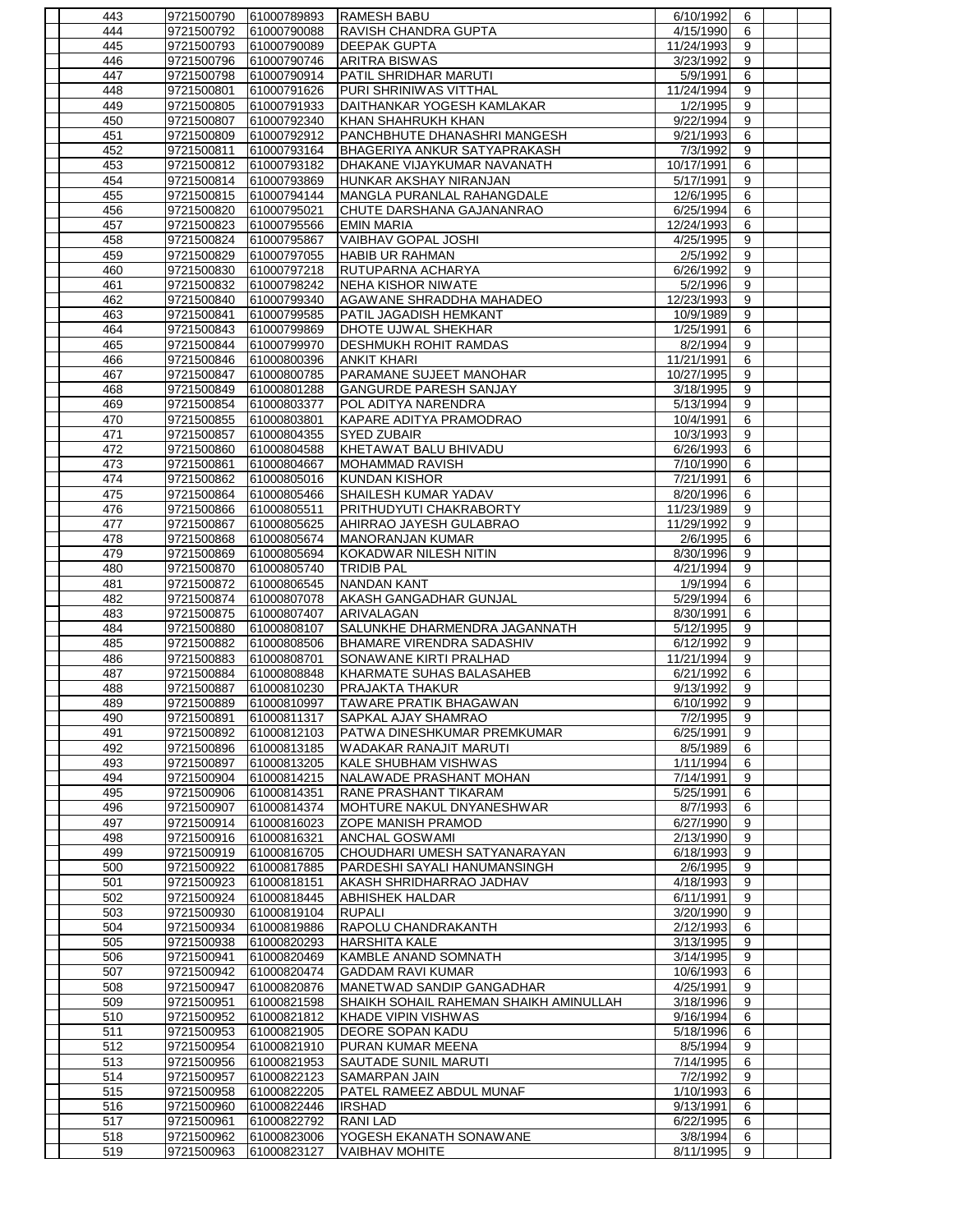| 443        | 9721500790 | 61000789893                | <b>RAMESH BABU</b>                     | 6/10/1992  | 6              |  |
|------------|------------|----------------------------|----------------------------------------|------------|----------------|--|
| 444        | 9721500792 | 61000790088                | RAVISH CHANDRA GUPTA                   | 4/15/1990  | 6              |  |
| 445        | 9721500793 | 61000790089                | <b>DEEPAK GUPTA</b>                    | 11/24/1993 | 9              |  |
| 446        | 9721500796 | 61000790746                | <b>ARITRA BISWAS</b>                   | 3/23/1992  | 9              |  |
| 447        | 9721500798 | 61000790914                | PATIL SHRIDHAR MARUTI                  | 5/9/1991   | 6              |  |
| 448        | 9721500801 | 61000791626                | PURI SHRINIWAS VITTHAL                 | 11/24/1994 | 9              |  |
| 449        | 9721500805 | 61000791933                | DAITHANKAR YOGESH KAMLAKAR             | 1/2/1995   | 9              |  |
| 450        | 9721500807 | 61000792340                | KHAN SHAHRUKH KHAN                     | 9/22/1994  | 9              |  |
| 451        | 9721500809 | 61000792912                | PANCHBHUTE DHANASHRI MANGESH           | 9/21/1993  | 6              |  |
| 452        | 9721500811 | 61000793164                | BHAGERIYA ANKUR SATYAPRAKASH           | 7/3/1992   | 9              |  |
| 453        | 9721500812 | 61000793182                | DHAKANE VIJAYKUMAR NAVANATH            | 10/17/1991 | 6              |  |
| 454        | 9721500814 | 61000793869                | HUNKAR AKSHAY NIRANJAN                 | 5/17/1991  | 9              |  |
| 455        | 9721500815 | 61000794144                | MANGLA PURANLAL RAHANGDALE             | 12/6/1995  | 6              |  |
| 456        | 9721500820 | 61000795021                | CHUTE DARSHANA GAJANANRAO              | 6/25/1994  | 6              |  |
| 457        | 9721500823 | 61000795566                | <b>EMIN MARIA</b>                      | 12/24/1993 | 6              |  |
| 458        | 9721500824 | 61000795867                | VAIBHAV GOPAL JOSHI                    | 4/25/1995  | $\overline{9}$ |  |
| 459        | 9721500829 | 61000797055                | <b>HABIB UR RAHMAN</b>                 | 2/5/1992   | 9              |  |
| 460        | 9721500830 | 61000797218                | RUTUPARNA ACHARYA                      | 6/26/1992  | 9              |  |
| 461        | 9721500832 | 61000798242                | <b>NEHA KISHOR NIWATE</b>              | 5/2/1996   | 9              |  |
|            |            |                            |                                        |            | 9              |  |
| 462<br>463 | 9721500840 | 61000799340<br>61000799585 | AGAWANE SHRADDHA MAHADEO               | 12/23/1993 | $\overline{9}$ |  |
|            | 9721500841 |                            | PATIL JAGADISH HEMKANT                 | 10/9/1989  |                |  |
| 464        | 9721500843 | 61000799869                | DHOTE UJWAL SHEKHAR                    | 1/25/1991  | 6              |  |
| 465        | 9721500844 | 61000799970                | <b>DESHMUKH ROHIT RAMDAS</b>           | 8/2/1994   | 9              |  |
| 466        | 9721500846 | 61000800396                | <b>ANKIT KHARI</b>                     | 11/21/1991 | 6              |  |
| 467        | 9721500847 | 61000800785                | PARAMANE SUJEET MANOHAR                | 10/27/1995 | 9              |  |
| 468        | 9721500849 | 61000801288                | <b>GANGURDE PARESH SANJAY</b>          | 3/18/1995  | $\overline{9}$ |  |
| 469        | 9721500854 | 61000803377                | POL ADITYA NARENDRA                    | 5/13/1994  | 9              |  |
| 470        | 9721500855 | 61000803801                | KAPARE ADITYA PRAMODRAO                | 10/4/1991  | 6              |  |
| 471        | 9721500857 | 61000804355                | <b>SYED ZUBAIR</b>                     | 10/3/1993  | 9              |  |
| 472        | 9721500860 | 61000804588                | KHETAWAT BALU BHIVADU                  | 6/26/1993  | 6              |  |
| 473        | 9721500861 | 61000804667                | <b>MOHAMMAD RAVISH</b>                 | 7/10/1990  | 6              |  |
| 474        | 9721500862 | 61000805016                | <b>KUNDAN KISHOR</b>                   | 7/21/1991  | 6              |  |
| 475        | 9721500864 | 61000805466                | SHAILESH KUMAR YADAV                   | 8/20/1996  | 6              |  |
| 476        | 9721500866 | 61000805511                | PRITHUDYUTI CHAKRABORTY                | 11/23/1989 | 9              |  |
| 477        | 9721500867 | 61000805625                | <b>AHIRRAO JAYESH GULABRAO</b>         | 11/29/1992 | 9              |  |
| 478        | 9721500868 | 61000805674                | <b>MANORANJAN KUMAR</b>                | 2/6/1995   | 6              |  |
| 479        | 9721500869 | 61000805694                | KOKADWAR NILESH NITIN                  | 8/30/1996  | 9              |  |
| 480        | 9721500870 | 61000805740                | <b>TRIDIB PAL</b>                      | 4/21/1994  | 9              |  |
| 481        | 9721500872 | 61000806545                | <b>NANDAN KANT</b>                     | 1/9/1994   | 6              |  |
| 482        | 9721500874 | 61000807078                | AKASH GANGADHAR GUNJAL                 | 5/29/1994  | 6              |  |
| 483        | 9721500875 | 61000807407                | ARIVALAGAN                             | 8/30/1991  | 6              |  |
| 484        | 9721500880 | 61000808107                | SALUNKHE DHARMENDRA JAGANNATH          | 5/12/1995  | 9              |  |
| 485        | 9721500882 | 61000808506                | <b>BHAMARE VIRENDRA SADASHIV</b>       | 6/12/1992  | 9              |  |
| 486        | 9721500883 | 61000808701                | SONAWANE KIRTI PRALHAD                 | 11/21/1994 | 9              |  |
| 487        | 9721500884 | 61000808848                | KHARMATE SUHAS BALASAHEB               | 6/21/1992  | 6              |  |
| 488        | 9721500887 | 61000810230                | <b>PRAJAKTA THAKUR</b>                 | 9/13/1992  | 9              |  |
| 489        | 9721500889 | 61000810997                | <b>TAWARE PRATIK BHAGAWAN</b>          | 6/10/1992  | 9              |  |
| 490        | 9721500891 | 61000811317                | SAPKAL AJAY SHAMRAO                    | 7/2/1995   | 9              |  |
| 491        | 9721500892 | 61000812103                | PATWA DINESHKUMAR PREMKUMAR            | 6/25/1991  | 9              |  |
| 492        | 9721500896 | 61000813185                | WADAKAR RANAJIT MARUTI                 | 8/5/1989   | 6              |  |
| 493        | 9721500897 | 61000813205                | <b>KALE SHUBHAM VISHWAS</b>            | 1/11/1994  | 6              |  |
| 494        | 9721500904 | 61000814215                | NALAWADE PRASHANT MOHAN                | 7/14/1991  | 9              |  |
| 495        | 9721500906 | 61000814351                | RANE PRASHANT TIKARAM                  | 5/25/1991  | 6              |  |
| 496        | 9721500907 | 61000814374                | MOHTURE NAKUL DNYANESHWAR              | 8/7/1993   | 6              |  |
| 497        | 9721500914 | 61000816023                | ZOPE MANISH PRAMOD                     | 6/27/1990  | 9              |  |
| 498        | 9721500916 | 61000816321                | <b>ANCHAL GOSWAMI</b>                  | 2/13/1990  | 9              |  |
| 499        | 9721500919 | 61000816705                | CHOUDHARI UMESH SATYANARAYAN           | 6/18/1993  | 9              |  |
| 500        | 9721500922 | 61000817885                | PARDESHI SAYALI HANUMANSINGH           | 2/6/1995   | 9              |  |
| 501        | 9721500923 | 61000818151                | AKASH SHRIDHARRAO JADHAV               | 4/18/1993  | 9              |  |
| 502        | 9721500924 | 61000818445                | <b>ABHISHEK HALDAR</b>                 | 6/11/1991  | 9              |  |
| 503        | 9721500930 | 61000819104                | <b>RUPALI</b>                          | 3/20/1990  | 9              |  |
| 504        | 9721500934 | 61000819886                | RAPOLU CHANDRAKANTH                    | 2/12/1993  | 6              |  |
| 505        | 9721500938 | 61000820293                | <b>HARSHITA KALE</b>                   | 3/13/1995  | 9              |  |
| 506        | 9721500941 | 61000820469                | KAMBLE ANAND SOMNATH                   | 3/14/1995  | 9              |  |
| 507        | 9721500942 | 61000820474                | <b>GADDAM RAVI KUMAR</b>               | 10/6/1993  | 6              |  |
| 508        | 9721500947 | 61000820876                | MANETWAD SANDIP GANGADHAR              | 4/25/1991  | 9              |  |
| 509        | 9721500951 | 61000821598                | SHAIKH SOHAIL RAHEMAN SHAIKH AMINULLAH | 3/18/1996  | 9              |  |
| 510        | 9721500952 | 61000821812                | KHADE VIPIN VISHWAS                    | 9/16/1994  | 6              |  |
| 511        | 9721500953 | 61000821905                | DEORE SOPAN KADU                       | 5/18/1996  | 6              |  |
| 512        | 9721500954 | 61000821910                | PURAN KUMAR MEENA                      | 8/5/1994   | 9              |  |
| 513        | 9721500956 | 61000821953                | <b>SAUTADE SUNIL MARUTI</b>            | 7/14/1995  | 6              |  |
| 514        | 9721500957 | 61000822123                | <b>SAMARPAN JAIN</b>                   | 7/2/1992   | 9              |  |
| 515        | 9721500958 | 61000822205                | PATEL RAMEEZ ABDUL MUNAF               | 1/10/1993  | 6              |  |
| 516        | 9721500960 | 61000822446                | <b>IRSHAD</b>                          | 9/13/1991  | 6              |  |
| 517        | 9721500961 | 61000822792                | <b>RANILAD</b>                         | 6/22/1995  | 6              |  |
| 518        | 9721500962 | 61000823006                | YOGESH EKANATH SONAWANE                | 3/8/1994   | 6              |  |
| 519        | 9721500963 | 61000823127                | <b>VAIBHAV MOHITE</b>                  | 8/11/1995  | 9              |  |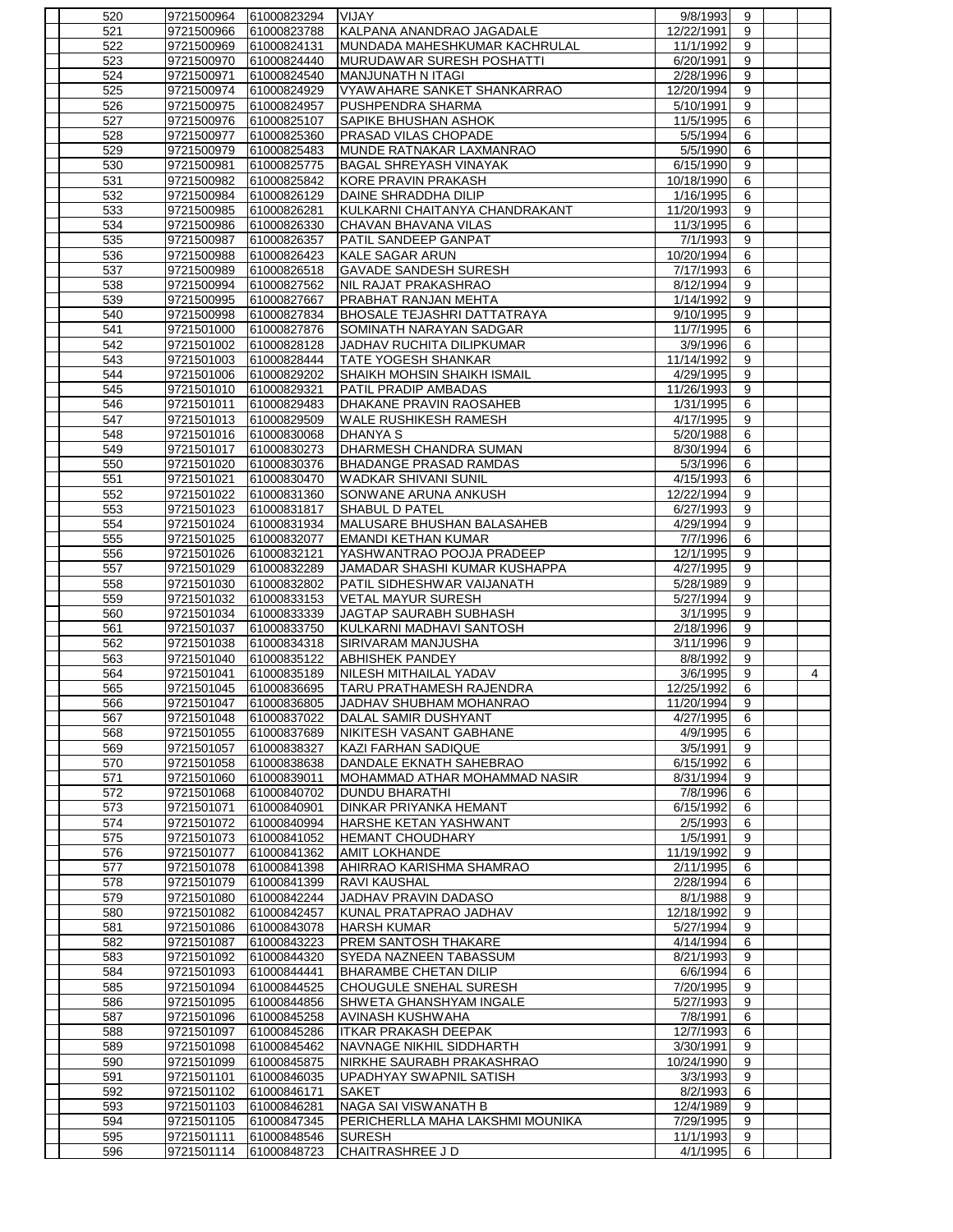| 520        | 9721500964               | 61000823294                | VIJAY                                          | 9/8/1993               | 9                |                |
|------------|--------------------------|----------------------------|------------------------------------------------|------------------------|------------------|----------------|
| 521        | 9721500966               | 61000823788                | KALPANA ANANDRAO JAGADALE                      | 12/22/1991             | 9                |                |
| 522        | 9721500969               | 61000824131                | MUNDADA MAHESHKUMAR KACHRULAL                  | 11/1/1992              | 9                |                |
| 523        | 9721500970               | 61000824440                | <b>MURUDAWAR SURESH POSHATTI</b>               | 6/20/1991              | 9                |                |
| 524        | 9721500971               | 61000824540                | MANJUNATH N ITAGI                              | 2/28/1996              | 9                |                |
| 525        | 9721500974               | 61000824929                | VYAW AHARE SANKET SHANKARRAO                   | 12/20/1994             | 9                |                |
| 526        | 9721500975               | 61000824957                | <b>PUSHPENDRA SHARMA</b>                       | 5/10/1991              | 9                |                |
| 527        | 9721500976               | 61000825107                | SAPIKE BHUSHAN ASHOK                           | 11/5/1995              | 6                |                |
| 528        | 9721500977               | 61000825360                | <b>PRASAD VILAS CHOPADE</b>                    | 5/5/1994               | 6                |                |
| 529        | 9721500979               | 61000825483                | MUNDE RATNAKAR LAXMANRAO                       | 5/5/1990               | 6                |                |
| 530        | 9721500981               | 61000825775                | <b>BAGAL SHREYASH VINAYAK</b>                  | 6/15/1990              | 9                |                |
| 531        | 9721500982               | 61000825842                | <b>KORE PRAVIN PRAKASH</b>                     | 10/18/1990             | 6                |                |
| 532        | 9721500984               | 61000826129                | DAINE SHRADDHA DILIP                           | 1/16/1995              | 6                |                |
| 533        | 9721500985               | 61000826281                | KULKARNI CHAITANYA CHANDRAKANT                 | 11/20/1993             | 9                |                |
| 534<br>535 | 9721500986               | 61000826330                | CHAVAN BHAVANA VILAS<br>PATIL SANDEEP GANPAT   | 11/3/1995              | 6<br>9           |                |
|            | 9721500987               | 61000826357                | <b>KALE SAGAR ARUN</b>                         | 7/1/1993<br>10/20/1994 |                  |                |
| 536<br>537 | 9721500988<br>9721500989 | 61000826423<br>61000826518 | <b>GAVADE SANDESH SURESH</b>                   | 7/17/1993              | 6<br>6           |                |
| 538        | 9721500994               | 61000827562                | NIL RAJAT PRAKASHRAO                           | 8/12/1994              | 9                |                |
| 539        | 9721500995               | 61000827667                | PRABHAT RANJAN MEHTA                           | 1/14/1992              | 9                |                |
| 540        | 9721500998               | 61000827834                | <b>BHOSALE TEJASHRI DATTATRAYA</b>             | 9/10/1995              | 9                |                |
| 541        | 9721501000               | 61000827876                | SOMINATH NARAYAN SADGAR                        | 11/7/1995              | 6                |                |
| 542        | 9721501002               | 61000828128                | JADHAV RUCHITA DILIPKUMAR                      | 3/9/1996               | 6                |                |
| 543        | 9721501003               | 61000828444                | <b>TATE YOGESH SHANKAR</b>                     | 11/14/1992             | 9                |                |
| 544        | 9721501006               | 61000829202                | SHAIKH MOHSIN SHAIKH ISMAIL                    | 4/29/1995              | 9                |                |
| 545        | 9721501010               | 61000829321                | PATIL PRADIP AMBADAS                           | 11/26/1993             | $\overline{9}$   |                |
| 546        | 9721501011               | 61000829483                | DHAKANE PRAVIN RAOSAHEB                        | 1/31/1995              | 6                |                |
| 547        | 9721501013               | 61000829509                | <b>WALE RUSHIKESH RAMESH</b>                   | 4/17/1995              | 9                |                |
| 548        | 9721501016               | 61000830068                | <b>DHANYA S</b>                                | 5/20/1988              | 6                |                |
| 549        | 9721501017               | 61000830273                | DHARMESH CHANDRA SUMAN                         | 8/30/1994              | 6                |                |
| 550        | 9721501020               | 61000830376                | <b>BHADANGE PRASAD RAMDAS</b>                  | 5/3/1996               | 6                |                |
| 551        | 9721501021               | 61000830470                | <b>WADKAR SHIVANI SUNIL</b>                    | 4/15/1993              | 6                |                |
| 552        | 9721501022               | 61000831360                | SONWANE ARUNA ANKUSH                           | 12/22/1994             | 9                |                |
| 553        | 9721501023               | 61000831817                | SHABUL D PATEL                                 | 6/27/1993              | 9                |                |
| 554        | 9721501024               | 61000831934                | MALUSARE BHUSHAN BALASAHEB                     | 4/29/1994              | 9                |                |
| 555        | 9721501025               | 61000832077                | <b>EMANDI KETHAN KUMAR</b>                     | 7/7/1996               | 6                |                |
| 556        | 9721501026               | 61000832121                | YASHWANTRAO POOJA PRADEEP                      | 12/1/1995              | 9                |                |
| 557        | 9721501029               | 61000832289                | JAMADAR SHASHI KUMAR KUSHAPPA                  | 4/27/1995              | 9                |                |
| 558        | 9721501030               | 61000832802                | PATIL SIDHESHWAR VAIJANATH                     | 5/28/1989              | 9                |                |
|            |                          |                            |                                                |                        |                  |                |
| 559        | 9721501032               | 61000833153                | <b>VETAL MAYUR SURESH</b>                      | 5/27/1994              | 9                |                |
| 560        | 9721501034               | 61000833339                | JAGTAP SAURABH SUBHASH                         | 3/1/1995               | $\boldsymbol{9}$ |                |
| 561        | 9721501037               | 61000833750                | KULKARNI MADHAVI SANTOSH                       | 2/18/1996              | 9                |                |
| 562        | 9721501038               | 61000834318                | SIRIVARAM MANJUSHA                             | 3/11/1996              | 9                |                |
| 563        | 9721501040               | 61000835122                | <b>ABHISHEK PANDEY</b>                         | 8/8/1992               | 9                |                |
| 564        | 9721501041               | 61000835189                | NILESH MITHAILAL YADAV                         | 3/6/1995               | 9                | $\overline{4}$ |
| 565        | 9721501045               | 61000836695                | TARU PRATHAMESH RAJENDRA                       | 12/25/1992             | 6                |                |
| 566        |                          | 9721501047 61000836805     | JADHAV SHUBHAM MOHANRAO                        | 11/20/1994             | 9                |                |
| 567        | 9721501048               | 61000837022                | DALAL SAMIR DUSHYANT                           | 4/27/1995              | 6                |                |
| 568        | 9721501055               | 61000837689                | NIKITESH VASANT GABHANE                        | 4/9/1995               | 6                |                |
| 569        | 9721501057               | 61000838327                | KAZI FARHAN SADIQUE                            | 3/5/1991               | 9                |                |
| 570        | 9721501058               | 61000838638                | DANDALE EKNATH SAHEBRAO                        | 6/15/1992              | 6                |                |
| 571        | 9721501060               | 61000839011                | MOHAMMAD ATHAR MOHAMMAD NASIR                  | 8/31/1994              | 9                |                |
| 572        | 9721501068               | 61000840702                | <b>DUNDU BHARATHI</b>                          | 7/8/1996               | 6                |                |
| 573        | 9721501071               | 61000840901                | DINKAR PRIYANKA HEMANT                         | 6/15/1992              | 6                |                |
| 574        | 9721501072               | 61000840994                | HARSHE KETAN YASHWANT                          | 2/5/1993               | 6                |                |
| 575        | 9721501073               | 61000841052                | <b>HEMANT CHOUDHARY</b>                        | 1/5/1991               | 9                |                |
| 576        | 9721501077               | 61000841362                | <b>AMIT LOKHANDE</b>                           | 11/19/1992             | 9                |                |
| 577        | 9721501078               | 61000841398                | AHIRRAO KARISHMA SHAMRAO                       | 2/11/1995              | 6                |                |
| 578        | 9721501079               | 61000841399                | <b>RAVI KAUSHAL</b>                            | 2/28/1994              | 6                |                |
| 579        | 9721501080               | 61000842244                | JADHAV PRAVIN DADASO                           | 8/1/1988               | 9                |                |
| 580        | 9721501082               | 61000842457                | KUNAL PRATAPRAO JADHAV                         | 12/18/1992             | 9                |                |
| 581        | 9721501086               | 61000843078                | <b>HARSH KUMAR</b>                             | 5/27/1994              | 9                |                |
| 582        | 9721501087               | 61000843223                | PREM SANTOSH THAKARE<br>SYEDA NAZNEEN TABASSUM | 4/14/1994<br>8/21/1993 | 6<br>9           |                |
| 583<br>584 | 9721501092<br>9721501093 | 61000844320<br>61000844441 | <b>BHARAMBE CHETAN DILIP</b>                   | 6/6/1994               | 6                |                |
| 585        | 9721501094               | 61000844525                | CHOUGULE SNEHAL SURESH                         | 7/20/1995              | 9                |                |
| 586        | 9721501095               | 61000844856                | SHWETA GHANSHYAM INGALE                        | 5/27/1993              | 9                |                |
| 587        | 9721501096               | 61000845258                | AVINASH KUSHWAHA                               | 7/8/1991               | 6                |                |
| 588        | 9721501097               | 61000845286                | <b>ITKAR PRAKASH DEEPAK</b>                    | 12/7/1993              | 6                |                |
| 589        | 9721501098               | 61000845462                | NAVNAGE NIKHIL SIDDHARTH                       | 3/30/1991              | 9                |                |
| 590        | 9721501099               | 61000845875                | NIRKHE SAURABH PRAKASHRAO                      | 10/24/1990             | 9                |                |
| 591        | 9721501101               | 61000846035                | UPADHYAY SWAPNIL SATISH                        | 3/3/1993               | 9                |                |
| 592        | 9721501102               | 61000846171                | <b>SAKET</b>                                   | 8/2/1993               | 6                |                |
| 593        | 9721501103               | 61000846281                | NAGA SAI VISWANATH B                           | 12/4/1989              | 9                |                |
| 594        | 9721501105               | 61000847345                | PERICHERLLA MAHA LAKSHMI MOUNIKA               | 7/29/1995              | 9                |                |
| 595<br>596 | 9721501111<br>9721501114 | 61000848546<br>61000848723 | <b>SURESH</b><br><b>CHAITRASHREE J D</b>       | 11/1/1993<br>4/1/1995  | 9<br>6           |                |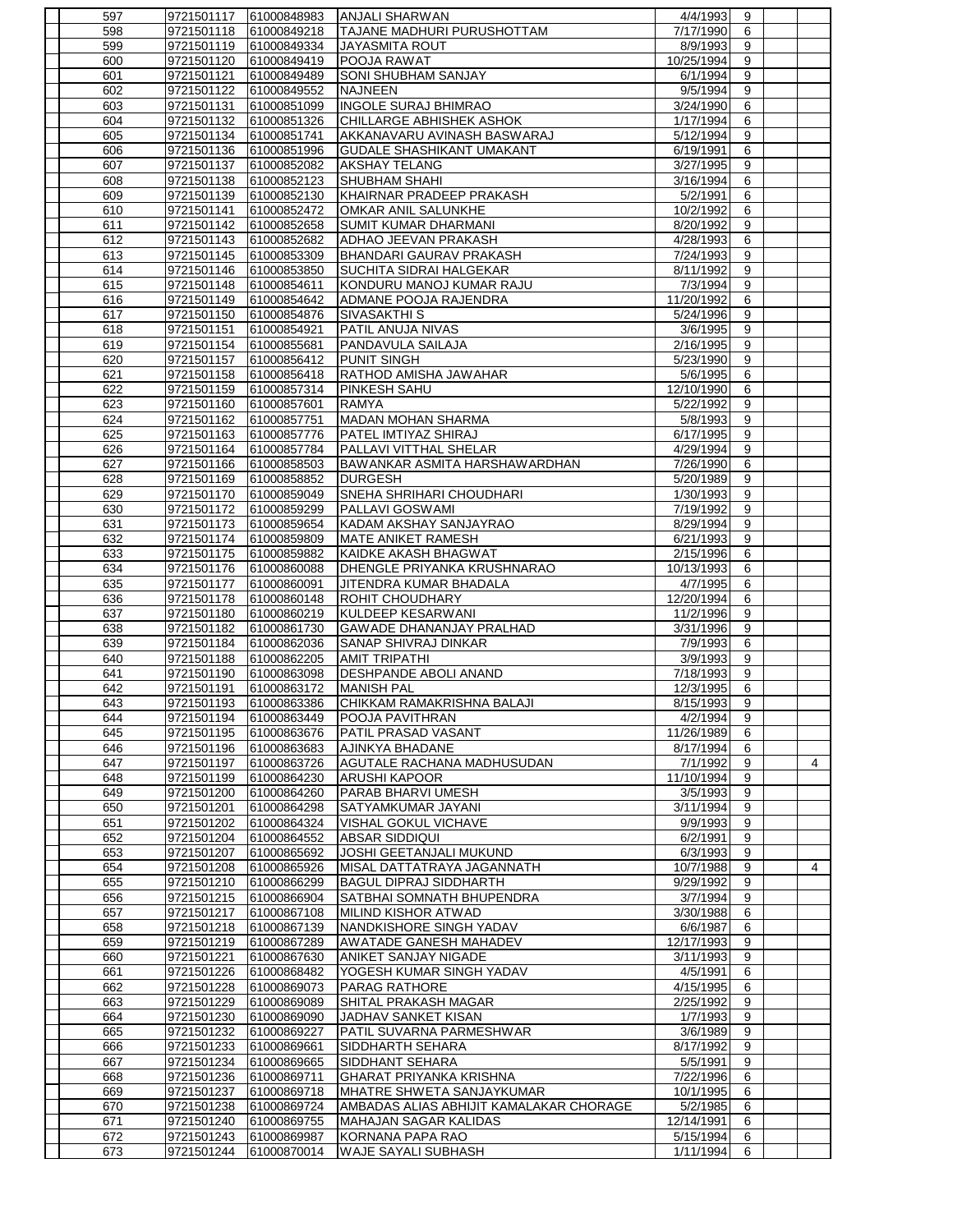| 597 | 9721501117 | 61000848983            | ANJALI SHARWAN                          | 4/4/1993               | 9 |                |
|-----|------------|------------------------|-----------------------------------------|------------------------|---|----------------|
| 598 | 9721501118 | 61000849218            | TAJANE MADHURI PURUSHOTTAM              | 7/17/1990              | 6 |                |
| 599 | 9721501119 | 61000849334            | <b>JAYASMITA ROUT</b>                   | 8/9/1993               | 9 |                |
| 600 | 9721501120 | 61000849419            | POOJA RAWAT                             | 10/25/1994             | 9 |                |
| 601 | 9721501121 | 61000849489            | <b>SONI SHUBHAM SANJAY</b>              | 6/1/1994               | 9 |                |
| 602 | 9721501122 | 61000849552            | <b>NAJNEEN</b>                          | 9/5/1994               | 9 |                |
| 603 | 9721501131 | 61000851099            | <b>INGOLE SURAJ BHIMRAO</b>             | 3/24/1990              | 6 |                |
| 604 | 9721501132 | 61000851326            | CHILLARGE ABHISHEK ASHOK                | 1/17/1994              | 6 |                |
| 605 | 9721501134 | 61000851741            | AKKANAVARU AVINASH BASWARAJ             | 5/12/1994              | 9 |                |
| 606 | 9721501136 | 61000851996            | <b>GUDALE SHASHIKANT UMAKANT</b>        | 6/19/1991              | 6 |                |
| 607 | 9721501137 | 61000852082            | <b>AKSHAY TELANG</b>                    | 3/27/1995              | 9 |                |
| 608 | 9721501138 | 61000852123            | <b>SHUBHAM SHAHI</b>                    | 3/16/1994              | 6 |                |
| 609 | 9721501139 | 61000852130            | KHAIRNAR PRADEEP PRAKASH                | 5/2/1991               | 6 |                |
| 610 | 9721501141 | 61000852472            | OMKAR ANIL SALUNKHE                     | 10/2/1992              | 6 |                |
| 611 | 9721501142 | 61000852658            | <b>SUMIT KUMAR DHARMANI</b>             | 8/20/1992              | 9 |                |
| 612 | 9721501143 | 61000852682            | <b>ADHAO JEEVAN PRAKASH</b>             | 4/28/1993              | 6 |                |
| 613 | 9721501145 | 61000853309            | BHANDARI GAURAV PRAKASH                 | 7/24/1993              | 9 |                |
| 614 | 9721501146 | 61000853850            | <b>SUCHITA SIDRAI HALGEKAR</b>          | 8/11/1992              | 9 |                |
| 615 | 9721501148 | 61000854611            | KONDURU MANOJ KUMAR RAJU                | 7/3/1994               | 9 |                |
| 616 | 9721501149 | 61000854642            | ADMANE POOJA RAJENDRA                   | 11/20/1992             | 6 |                |
| 617 | 9721501150 | 61000854876            | SIVASAKTHI S                            | 5/24/1996              | 9 |                |
|     |            |                        |                                         |                        |   |                |
| 618 | 9721501151 | 61000854921            | PATIL ANUJA NIVAS                       | 3/6/1995               | 9 |                |
| 619 | 9721501154 | 61000855681            | PANDAVULA SAILAJA                       | 2/16/1995              | 9 |                |
| 620 | 9721501157 | 61000856412            | <b>PUNIT SINGH</b>                      | 5/23/1990              | 9 |                |
| 621 | 9721501158 | 61000856418            | RATHOD AMISHA JAWAHAR                   | 5/6/1995               | 6 |                |
| 622 | 9721501159 | 61000857314            | <b>PINKESH SAHU</b>                     | 12/10/1990             | 6 |                |
| 623 | 9721501160 | 61000857601            | <b>RAMYA</b>                            | 5/22/1992              | 9 |                |
| 624 | 9721501162 | 61000857751            | MADAN MOHAN SHARMA                      | 5/8/1993               | 9 |                |
| 625 | 9721501163 | 61000857776            | <b>PATEL IMTIYAZ SHIRAJ</b>             | 6/17/1995              | 9 |                |
| 626 | 9721501164 | 61000857784            | <b>PALLAVI VITTHAL SHELAR</b>           | 4/29/1994              | 9 |                |
| 627 | 9721501166 | 61000858503            | BAWANKAR ASMITA HARSHAWARDHAN           | 7/26/1990              | 6 |                |
| 628 | 9721501169 | 61000858852            | <b>DURGESH</b>                          | 5/20/1989              | 9 |                |
| 629 | 9721501170 | 61000859049            | SNEHA SHRIHARI CHOUDHARI                | 1/30/1993              | 9 |                |
| 630 | 9721501172 | 61000859299            | PALLAVI GOSWAMI                         | 7/19/1992              | 9 |                |
| 631 | 9721501173 | 61000859654            | KADAM AKSHAY SANJAYRAO                  | 8/29/1994              | 9 |                |
| 632 | 9721501174 | 61000859809            | MATE ANIKET RAMESH                      | 6/21/1993              | 9 |                |
| 633 | 9721501175 | 61000859882            | KAIDKE AKASH BHAGWAT                    | $\overline{2/15/1996}$ | 6 |                |
| 634 | 9721501176 | 61000860088            | DHENGLE PRIYANKA KRUSHNARAO             | 10/13/1993             | 6 |                |
| 635 | 9721501177 | 61000860091            | JITENDRA KUMAR BHADALA                  | 4/7/1995               | 6 |                |
| 636 | 9721501178 | 61000860148            | <b>ROHIT CHOUDHARY</b>                  | 12/20/1994             | 6 |                |
| 637 | 9721501180 | 61000860219            | KULDEEP KESARWANI                       | 11/2/1996              | 9 |                |
| 638 | 9721501182 | 61000861730            | <b>GAWADE DHANANJAY PRALHAD</b>         | 3/31/1996              | 9 |                |
| 639 | 9721501184 | 61000862036            | SANAP SHIVRAJ DINKAR                    | 7/9/1993               | 6 |                |
| 640 | 9721501188 | 61000862205            | <b>AMIT TRIPATHI</b>                    | 3/9/1993               | 9 |                |
| 641 | 9721501190 | 61000863098            | <b>DESHPANDE ABOLI ANAND</b>            | 7/18/1993              | 9 |                |
| 642 | 9721501191 | 61000863172            | <b>MANISH PAL</b>                       | 12/3/1995              | 6 |                |
|     |            |                        | CHIKKAM RAMAKRISHNA BALAJI              | 8/15/1993              | 9 |                |
| 643 |            | 9721501193 61000863386 |                                         |                        |   |                |
| 644 | 9721501194 | 61000863449            | <b>POOJA PAVITHRAN</b>                  | 4/2/1994               | 9 |                |
| 645 | 9721501195 | 61000863676            | <b>PATIL PRASAD VASANT</b>              | 11/26/1989             | 6 |                |
| 646 | 9721501196 | 61000863683            | AJINKYA BHADANE                         | 8/17/1994              | 6 |                |
| 647 | 9721501197 | 61000863726            | <b>AGUTALE RACHANA MADHUSUDAN</b>       | 7/1/1992               | 9 | $\overline{4}$ |
| 648 | 9721501199 | 61000864230            | <b>ARUSHI KAPOOR</b>                    | 11/10/1994             | 9 |                |
| 649 | 9721501200 | 61000864260            | PARAB BHARVI UMESH                      | 3/5/1993               | 9 |                |
| 650 | 9721501201 | 61000864298            | SATYAMKUMAR JAYANI                      | 3/11/1994              | 9 |                |
| 651 | 9721501202 | 61000864324            | VISHAL GOKUL VICHAVE                    | 9/9/1993               | 9 |                |
| 652 | 9721501204 | 61000864552            | <b>ABSAR SIDDIQUI</b>                   | 6/2/1991               | 9 |                |
| 653 | 9721501207 | 61000865692            | JOSHI GEETANJALI MUKUND                 | 6/3/1993               | 9 |                |
| 654 | 9721501208 | 61000865926            | MISAL DATTATRAYA JAGANNATH              | 10/7/1988              | 9 | $\overline{4}$ |
| 655 | 9721501210 | 61000866299            | <b>BAGUL DIPRAJ SIDDHARTH</b>           | 9/29/1992              | 9 |                |
| 656 | 9721501215 | 61000866904            | SATBHAI SOMNATH BHUPENDRA               | 3/7/1994               | 9 |                |
| 657 | 9721501217 | 61000867108            | <b>MILIND KISHOR ATWAD</b>              | 3/30/1988              | 6 |                |
| 658 | 9721501218 | 61000867139            | NANDKISHORE SINGH YADAV                 | 6/6/1987               | 6 |                |
| 659 | 9721501219 | 61000867289            | AWATADE GANESH MAHADEV                  | 12/17/1993             | 9 |                |
| 660 | 9721501221 | 61000867630            | <b>ANIKET SANJAY NIGADE</b>             | 3/11/1993              | 9 |                |
| 661 | 9721501226 | 61000868482            | YOGESH KUMAR SINGH YADAV                | 4/5/1991               | 6 |                |
| 662 | 9721501228 | 61000869073            | <b>PARAG RATHORE</b>                    | 4/15/1995              | 6 |                |
| 663 | 9721501229 | 61000869089            | SHITAL PRAKASH MAGAR                    | 2/25/1992              | 9 |                |
| 664 | 9721501230 | 61000869090            | JADHAV SANKET KISAN                     | 1/7/1993               | 9 |                |
| 665 | 9721501232 | 61000869227            | PATIL SUVARNA PARMESHWAR                | 3/6/1989               | 9 |                |
| 666 | 9721501233 | 61000869661            | SIDDHARTH SEHARA                        | 8/17/1992              | 9 |                |
| 667 | 9721501234 | 61000869665            | SIDDHANT SEHARA                         | 5/5/1991               | 9 |                |
| 668 | 9721501236 | 61000869711            | <b>GHARAT PRIYANKA KRISHNA</b>          | 7/22/1996              | 6 |                |
| 669 | 9721501237 | 61000869718            | MHATRE SHWETA SANJAYKUMAR               | 10/1/1995              | 6 |                |
| 670 | 9721501238 | 61000869724            | AMBADAS ALIAS ABHIJIT KAMALAKAR CHORAGE | 5/2/1985               | 6 |                |
| 671 | 9721501240 | 61000869755            | MAHAJAN SAGAR KALIDAS                   | 12/14/1991             | 6 |                |
| 672 | 9721501243 | 61000869987            | KORNANA PAPA RAO                        | 5/15/1994              | 6 |                |
| 673 | 9721501244 | 61000870014            | <b>WAJE SAYALI SUBHASH</b>              | 1/11/1994              | 6 |                |
|     |            |                        |                                         |                        |   |                |